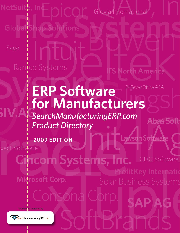**PLEAU Street Street Servia International** Sage Ramco Systems **North America** 

# **ERP Software** 24SevenOffice ASA **for Manufacturers SIV.AG**

anufacturingERP.com<br>Virectory<br>PNU DITTLE Lawson Software *SearchManufacturingERP.com Product Directory*

Consona Corp

**2009 EDITION**

xact Software<br> **Cincom Systems, Inc. CDC** Software **ProfitKey Internationally** 

**SAP AG**

**Solar Business Systems** 

Microsoft Corp.

*This directory created by*

Search Manufacturing ERP.com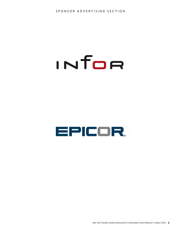# INTOR

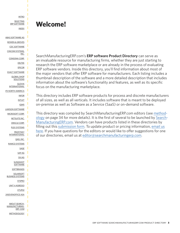<span id="page-2-0"></span>[INTRO](#page-2-0) [SELECTING](#page-3-0) [ERP SOFTWARE](#page-3-0) [INDEX](#page-5-0)

П

п

[ABAS SOFTWARE AG](#page-7-0) [BOWEN & GROVES](#page-7-0) [CDC SOFTWARE](#page-8-0) [CINCOM SYSTEMS,](#page-8-0) [INC.](#page-8-0) [CONSONA CORP.](#page-9-0) [DELTEK](#page-12-0) [EPICOR](#page-12-0) [EXACT SOFTWARE](#page-13-0) [GLOBAL SHOP](#page-13-0) [SOLUTIONS](#page-13-0) [GLOVIA](#page-14-0) [INTERNATIONAL](#page-14-0) [IFS NORTH AMERICA](#page-14-0) [INFOR](#page-15-0) [INTUIT](#page-18-0) [IQMS](#page-18-0) [LAWSON SOFTWARE](#page-19-0) [MICROSOFT CORP.](#page-19-0) [NETSUITE INC.](#page-21-0) [ORACLE CORP.](#page-22-0) [PLEX SYSTEMS](#page-23-0) [PROFITKEY](#page-23-0) [INTERNATIONAL](#page-23-0) [QAD, INC.](#page-24-0) [RAMCO SYSTEMS](#page-24-0) [SAGE](#page-25-0) [SAP AG](#page-25-0) [SIV.AG](#page-27-0) **[SLINGSHOT](#page-28-0) [SOFTWARE](#page-28-0) [SOFTBRANDS](#page-28-0)** [SOLARSOFT](#page-29-0) [BUSINESS SYSTEMS](#page-29-0) **[SYSPRO](#page-30-0)** [UNIT 4 AGRESSO](#page-30-0) [XTUPLE](#page-31-0) [24SEVENOFFICE ASA](#page-32-0) [ABOUT SEARCH-](#page-33-0)[MANUFACTURING-](#page-33-0)[ERP. COM](#page-33-0) [METHODOLOGY](#page-33-0)

## **Welcome!**

SearchManufacturingERP.com's **ERP software Product Directory** can serve as an invaluable resource for manufacturing firms, whether they are just starting to research the ERP software marketplace or are already in the process of evaluating ERP software vendors. Inside this directory, you'll find information about most of the major vendors that offer ERP software for manufacturers. Each listing includes a thumbnail description of the software and a more detailed description that includes information about the software's functionality and features, as well as its specific focus on the manufacturing marketplace.

This directory includes ERP software products for process and discrete manufacturers of all sizes, as well as all verticals. It includes software that is meant to be deployed on-premise as well as Software as a Service (SaaS) or on-demand software.

This directory was compiled by SearchManufacturingERP.com editors (see [method](#page-33-0)[ology](#page-33-0) on page 34 for more details). It is the first of several to be launched by [Search-](http://searchmanufacturingerp.techtarget.com/)[ManufacturingERP.com.](http://searchmanufacturingerp.techtarget.com/) Vendors can have products listed in these directories by filling out this [submission form.](http://pro22.sgizmo.com/survey.php?SURVEY=3JLZGMVR0F64GM28BOJ93Y9JPCQM1F-116537-30590151&pswsgt=1237997738&_csg=34P2McXj7hXmY) To update product or pricing information, [email us](mailto:editor@searchmanufacturingerp.com) here. If you have questions for the editors or would like to offer suggestions for one of our directories, email us at [editor@searchmanufacturingerp.com.](mailto:editor@searchmanufacturingerp.com)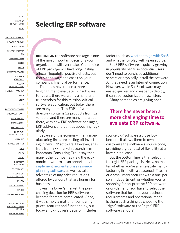<span id="page-3-0"></span>[INTRO](#page-2-0) **[SELECTING](#page-3-0)** [ERP SOFTWARE](#page-3-0) [INDEX](#page-5-0)

[ABAS SOFTWARE AG](#page-7-0) [BOWEN & GROVES](#page-7-0) [CDC SOFTWARE](#page-8-0) [CINCOM SYSTEMS,](#page-8-0) [INC.](#page-8-0) [CONSONA CORP.](#page-9-0) [DELTEK](#page-12-0) [EPICOR](#page-12-0) [EXACT SOFTWARE](#page-13-0) [GLOBAL SHOP](#page-13-0) **[SOLUTIONS](#page-13-0)** [GLOVIA](#page-14-0) [INTERNATIONAL](#page-14-0) [IFS NORTH AMERICA](#page-14-0) [INFOR](#page-15-0) [INTUIT](#page-18-0) [IQMS](#page-18-0) [LAWSON SOFTWARE](#page-19-0) [MICROSOFT CORP.](#page-19-0) [NETSUITE INC.](#page-21-0) [ORACLE CORP.](#page-22-0) [PLEX SYSTEMS](#page-23-0) [PROFITKEY](#page-23-0) **[INTERNATIONAL](#page-23-0)** [QAD, INC.](#page-24-0) [RAMCO SYSTEMS](#page-24-0) [SAGE](#page-25-0) [SAP AG](#page-25-0) [SIV.AG](#page-27-0) **[SLINGSHOT](#page-28-0) [SOFTWARE](#page-28-0) [SOFTBRANDS](#page-28-0) [SOLARSOFT](#page-29-0)** [BUSINESS SYSTEMS](#page-29-0) **[SYSPRO](#page-30-0)** [UNIT 4 AGRESSO](#page-30-0) [XTUPLE](#page-31-0) [24SEVENOFFICE ASA](#page-32-0) [ABOUT SEARCH-](#page-33-0)[MANUFACTURING-](#page-33-0)[ERP. COM](#page-33-0)

[METHODOLOGY](#page-33-0)

**Selecting ERP software**

Selecting **HOOSING AN ERP** software package is one of the most important decisions your organization will ever make. Your choice of ERP package will have long-lasting effects (hopefully, positive effects, but that's not always the case) on your company's financial performance.

There has never been a more challenging time to evaluate ERP software. For years, there were only a handful of true vendors for this mission-critical software application, but today there are many more. This ERP software directory contains 52 products from 32 vendors, and there are many more out there, with new ERP software packages, ERP add-ons and utilities appearing regularly.

Because of the economy, many manufacturing firms are putting off investing in new ERP software. However, analysts from ERP market research firm Panorama Consulting Group say that many other companies view the economic downturn as an opportunity to [implement new enterprise resource](http://searchmanufacturingerp.techtarget.com/news/article/0,289142,sid193_gci1350559,00.html) [planning software,](http://searchmanufacturingerp.techtarget.com/news/article/0,289142,sid193_gci1350559,00.html) as well as take advantage of any price reductions offered by vendors that are hungry for business.

Even in a buyer's market, the purchasing decision for ERP software has become far more complicated. Once, it was simply a matter of comparing prices, features and functionality, but today an ERP buyer's decision includes factors such as [whether to go with SaaS](http://searchmanufacturingerp.techtarget.com/news/article/0,289142,sid193_gci1350684,00.html) and whether to play with open source.

SaaS ERP software is quickly growing in popularity because potential users don't need to purchase additional servers or physically install the software. All they need is an Internet connection. However, while SaaS software may be easier, quicker and cheaper to deploy, it can't be customized or rewritten.

Many companies are giving open

## **There has never been a more challenging time to evaluate ERP software.**

source ERP software a close look because it allows them to own and customize the software's source code, providing a great deal of flexibility at a lower initial cost.

But the bottom line is that selecting the right ERP package is tricky, no matter whether you're a large-scale manufacturing firm with a seasoned IT team or a small manufacturer with a one-person IT department, or whether you're shopping for on-premise ERP software or on-demand. You have to select the software that best fits your business requirements and operational model. Is there such a thing as choosing the "right" software or the "right" ERP software vendor?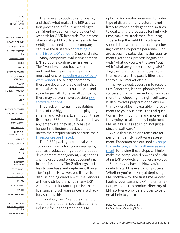[INTRO](#page-2-0) **[SELECTING](#page-3-0)** [ERP SOFTWARE](#page-3-0) [INDEX](#page-5-0)

[ABAS SOFTWARE AG](#page-7-0) [BOWEN & GROVES](#page-7-0) [CDC SOFTWARE](#page-8-0) [CINCOM SYSTEMS,](#page-8-0) [INC.](#page-8-0) [CONSONA CORP.](#page-9-0) [DELTEK](#page-12-0) [EPICOR](#page-12-0) [EXACT SOFTWARE](#page-13-0) [GLOBAL SHOP](#page-13-0) **[SOLUTIONS](#page-13-0)** [GLOVIA](#page-14-0) [INTERNATIONAL](#page-14-0) [IFS NORTH AMERICA](#page-14-0) [INFOR](#page-15-0) [INTUIT](#page-18-0) [IQMS](#page-18-0) [LAWSON SOFTWARE](#page-19-0) [MICROSOFT CORP.](#page-19-0) [NETSUITE INC.](#page-21-0) [ORACLE CORP.](#page-22-0) [PLEX SYSTEMS](#page-23-0) [PROFITKEY](#page-23-0) [INTERNATIONAL](#page-23-0) [QAD, INC.](#page-24-0) [RAMCO SYSTEMS](#page-24-0) [SAGE](#page-25-0) [SAP AG](#page-25-0) [SIV.AG](#page-27-0) **[SLINGSHOT](#page-28-0) [SOFTWARE](#page-28-0) [SOFTBRANDS](#page-28-0) [SOLARSOFT](#page-29-0)** [BUSINESS SYSTEMS](#page-29-0) **[SYSPRO](#page-30-0)** [UNIT 4 AGRESSO](#page-30-0) [XTUPLE](#page-31-0) [24SEVENOFFICE ASA](#page-32-0) [ABOUT SEARCH-](#page-33-0)[MANUFACTURING-](#page-33-0)[ERP. COM](#page-33-0) [METHODOLOGY](#page-33-0)

The answer to both questions is no. and that's what makes the ERP evaluation process so difficult, according to Jim Shepherd, senior vice president of research for AMR Research. The process of evaluating ERP software needs to be rigidly structured so that a company can take the first step of [creating a](http://searchmanufacturingerp.techtarget.com/generic/0,295582,sid193_gci1333227,00.html) [shortlist of ERP vendors,](http://searchmanufacturingerp.techtarget.com/generic/0,295582,sid193_gci1333227,00.html) Shepherd said.

Many companies evaluating potential ERP solutions confine themselves to Tier 1 vendors. If you have a small to midsized business, there are many more options for [selecting an ERP soft](http://searchmanufacturingerp.techtarget.com/news/article/0,289142,sid193_gci1350680,00.html)[ware vendor.](http://searchmanufacturingerp.techtarget.com/news/article/0,289142,sid193_gci1350680,00.html) For a larger company, there are dozens of viable options that can deal with complex businesses and scale for growth. For a small company, there may be even more possible [ERP](http://searchmanufacturingerp.techtarget.com/news/article/0,289142,sid193_gci1356173,00.html) [software options.](http://searchmanufacturingerp.techtarget.com/news/article/0,289142,sid193_gci1356173,00.html)

That lack of internal IT capabilities is one of the biggest problems plaguing small manufacturers. Even though these firms need ERP functionality as much as any enterprise, they usually have a harder time finding a package that meets their requirements because their [IT resources are limited.](http://searchmanufacturingerp.techtarget.com/news/article/0,289142,sid193_gci1356131,00.html)

Tier 2 ERP packages can deal with complex manufacturing requirements, such as product configuration, product development management, engineering change orders and project accounting. In addition, many Tier 2 offerings cost less to purchase and implement than a Tier 1 option. However, you'll have to discuss pricing directly with the vendors or their distributors, since many ERP vendors are reluctant to publish their licensing and software prices in a directory such as this.

In addition, Tier 2 vendors often provide more functional specialization and industry focus than traditional ERP

options. A complex, engineer-to-order type of discrete manufacturer is not likely to want a package that also tries to deal with the processes for high-volume, make-to-stock manufacturing.

Selecting the right ERP software should start with requirements-gathering from the corporate personnel who are accessing data. Ideally, the requirements-gathering process begins not with "what do you want to see?" but with "what are your business goals?" Together, the procurement team can then explore all the possibilities that today's ERP market offers.

The key caveat, according to research firm Panorama, is that "planning for a successful ERP implementation involves more than choosing the right software." It also involves preparation to ensure that ERP enables measurable improvements to your business. The real question is: How much time and money is it truly going to take to fully implement ERP as a business solution, not just a piece of software?

While there is no one template for performing an ERP software assessment, Panorama has outlined [six steps](http://searchmanufacturingerp.techtarget.com/news/article/0,289142,sid193_gci1350680,00.html) [to conducting an ERP software assess](http://searchmanufacturingerp.techtarget.com/news/article/0,289142,sid193_gci1350680,00.html)[ment.](http://searchmanufacturingerp.techtarget.com/news/article/0,289142,sid193_gci1350680,00.html) Following these steps will help make the complicated process of evaluating ERP products a little less involved.

So there you have it. Now you're ready to start the evaluation process. Whether you're looking at deploying ERP software for the first time or overhauling your existing ERP implementation, we hope this product directory of ERP software providers proves to be of great help to you. ■

**Peter Bochner** is the site editor for SearchManufacturingERP.com.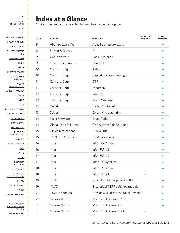<span id="page-5-0"></span>**[INTRO](#page-2-0) [SELECTING](#page-3-0)** [ERP SOFTWARE](#page-3-0)

[INDEX](#page-5-0)

ı

I I I I ı ı

I П ī П ı ı П Ī I ı

Γ

П П

Π ı ı I П ī П

## **Index at a Glance**

Click on the product name at left to jump to a longer description.

| <b>PAGE</b> | <b>VENDOR</b>                | <b>SAAS OR</b><br><b>PRODUCT</b> | ON<br><b>PREMISE</b> |
|-------------|------------------------------|----------------------------------|----------------------|
| 8           | Abas Software AG             | Abas Business Software           |                      |
| 8           | Bowen & Groves               | M1                               |                      |
| 9           | <b>CDC Software</b>          | Ross Enterprise                  |                      |
| 9           | Cincom Systems, Inc.         | Control ERP                      |                      |
| 10          | Consona Corp.                | Axiom                            |                      |
| 10          | Consona Corp.                | Cimnet Systems Paradigm          |                      |
| 11          | Consona Corp.                | <b>DTR</b>                       |                      |
| 11          | Consona Corp.                | Encompix                         |                      |
| 12          | Consona Corp.                | Intuitive                        |                      |
| 12          | Consona Corp.                | Made2Manage                      |                      |
| 13          | <b>Deltek</b>                | Deltek Costpoint                 |                      |
| 13          | Epicor                       | <b>Epicor Manufacturing</b>      |                      |
| 14          | <b>Exact Software</b>        | <b>Exact Globe</b>               |                      |
| 14          | <b>Global Shop Solutions</b> | One-System ERP Solutions         |                      |
| 15          | Glovia International         | Glovia ERP                       |                      |
| 15          | <b>IFS North America</b>     | <b>IFS Applications</b>          |                      |
| 16          | Infor                        | Infor ERP Adage                  |                      |
| 16          | Infor                        | Infor ERP LN                     |                      |
| 17          | Infor                        | Infor ERP LX                     |                      |
| 17          | Infor                        | Infor ERP SyteLine               |                      |
| 18          | Infor                        | Infor ERP Visual                 |                      |
| 18          | Infor                        | Infor ERP XA<br>$\bullet$        |                      |
| 19          | Intuit                       | QuickBooks Enterprise Solutions  |                      |
| 19          | <b>IQMS</b>                  | EnterpriseIQ ERP software module |                      |
| 20          | Lawson Software              | Lawson M3 Enterprise Management  |                      |
| 20          | Microsoft Corp.              | Microsoft Dynamics AX            |                      |
| 21          | Microsoft Corp.              | Microsoft Dynamics GP            |                      |
| 21          | Microsoft Corp.              | Microsoft Dynamics NAV           |                      |

[ABAS SOFTWARE AG](#page-7-0) [BOWEN & GROVES](#page-7-0) [CDC SOFTWARE](#page-8-0) [CINCOM SYSTEMS,](#page-8-0) [INC.](#page-8-0) [CONSONA CORP.](#page-9-0) [DELTEK](#page-12-0) [EPICOR](#page-12-0) [EXACT SOFTWARE](#page-13-0) [GLOBAL SHOP](#page-13-0) **[SOLUTIONS](#page-13-0) [GLOVIA](#page-14-0) [INTERNATIONAL](#page-14-0)** [IFS NORTH AMERICA](#page-14-0) [INFOR](#page-15-0) [INTUIT](#page-18-0) [IQMS](#page-18-0) [LAWSON SOFTWARE](#page-19-0) [MICROSOFT CORP.](#page-19-0) [NETSUITE INC.](#page-21-0) [ORACLE CORP.](#page-22-0) [PLEX SYSTEMS](#page-23-0) [PROFITKEY](#page-23-0) **[INTERNATIONAL](#page-23-0)** [QAD, INC.](#page-24-0) [RAMCO SYSTEMS](#page-24-0) [SAGE](#page-25-0) [SAP AG](#page-25-0) [SIV.AG](#page-27-0) **[SLINGSHOT](#page-28-0) [SOFTWARE](#page-28-0) [SOFTBRANDS](#page-28-0) [SOLARSOFT](#page-29-0)** [BUSINESS SYSTEMS](#page-29-0) **[SYSPRO](#page-30-0)** 

[ABOUT SEARCH-](#page-33-0)[MANUFACTURING-](#page-33-0)[ERP. COM](#page-33-0)

[24SEVENOFFICE ASA](#page-32-0)

[UNIT 4 AGRESSO](#page-30-0)

**[XTUPLE](#page-31-0)** 

ı

П

**[METHODOLOGY](#page-33-0)**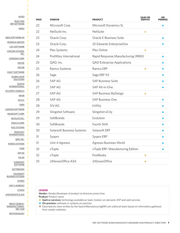**[INTRO](#page-2-0) [SELECTING](#page-3-0)** [ERP SOFTWARE](#page-3-0) [INDEX](#page-5-0) [ABAS SOFTWARE AG](#page-7-0) [BOWEN & GROVES](#page-7-0) [CDC SOFTWARE](#page-8-0) [CINCOM SYSTEMS,](#page-8-0) [INC.](#page-8-0) [CONSONA CORP.](#page-9-0) [DELTEK](#page-12-0) [EPICOR](#page-12-0) [EXACT SOFTWARE](#page-13-0) [GLOBAL SHOP](#page-13-0) **[SOLUTIONS](#page-13-0) [GLOVIA](#page-14-0) [INTERNATIONAL](#page-14-0)** [IFS NORTH AMERICA](#page-14-0) [INFOR](#page-15-0) [INTUIT](#page-18-0) [IQMS](#page-18-0) [LAWSON SOFTWARE](#page-19-0) [MICROSOFT CORP.](#page-19-0) [NETSUITE INC.](#page-21-0) [ORACLE CORP.](#page-22-0) [PLEX SYSTEMS](#page-23-0) [PROFITKEY](#page-23-0) **[INTERNATIONAL](#page-23-0)** [QAD, INC.](#page-24-0) [RAMCO SYSTEMS](#page-24-0) [SAGE](#page-25-0) [SAP AG](#page-25-0) [SIV.AG](#page-27-0) **[SLINGSHOT](#page-28-0) [SOFTWARE](#page-28-0) [SOFTBRANDS](#page-28-0) [SOLARSOFT](#page-29-0)** [BUSINESS SYSTEMS](#page-29-0) **[SYSPRO](#page-30-0)** [UNIT 4 AGRESSO](#page-30-0) П

П

**[XTUPLE](#page-31-0)** [24SEVENOFFICE ASA](#page-32-0)

[ABOUT SEARCH-](#page-33-0)[MANUFACTURING-](#page-33-0)[ERP. COM](#page-33-0)

П

п

**[METHODOLOGY](#page-33-0)** 

| <b>PAGE</b> | <b>VENDOR</b>              | <b>PRODUCT</b>                     | <b>SAAS OR</b><br><b>SERVICE</b> | ON<br><b>PREMISE</b> |
|-------------|----------------------------|------------------------------------|----------------------------------|----------------------|
| 22          | Microsoft Corp.            | Microsoft Dynamics SL              |                                  |                      |
| 22          | NetSuite Inc.              | NetSuite                           | $\bullet$                        |                      |
| 23          | Oracle Corp.               | Oracle E-Business Suite            |                                  |                      |
| 23          | Oracle Corp.               | JD Edwards EnterpriseOne           |                                  |                      |
| 24          | Plex Systems               | Plex Online                        |                                  |                      |
| 24          | ProfitKey International    | Rapid Response Manufacturing (RRM) |                                  |                      |
| 25          | QAD, Inc.                  | <b>QAD Enterprise Applications</b> |                                  |                      |
| 25          | Ramco Systems              | Ramco ERP                          |                                  |                      |
| 26          | Sage                       | Sage ERP X3                        |                                  |                      |
| 26          | <b>SAPAG</b>               | <b>SAP Business Suite</b>          |                                  |                      |
| 27          | <b>SAP AG</b>              | SAP All-in-One                     |                                  |                      |
| 27          | <b>SAP AG</b>              | SAP Business ByDesign              |                                  |                      |
| 28          | <b>SAP AG</b>              | <b>SAP Business One</b>            |                                  |                      |
| 28          | SIV.AG                     | kVASy                              |                                  |                      |
| 29          | Slingshot Software         | Slingshot eCity                    |                                  |                      |
| 29          | SoftBrands                 | Evolution                          |                                  |                      |
| 30          | SoftBrands                 | Fourth Shift                       |                                  |                      |
| 30          | Solarsoft Business Systems | Solarsoft ERP                      |                                  |                      |
| 31          | Syspro                     | Syspro ERP                         |                                  |                      |
| 31          | Unit 4 Agresso             | Agresso Business World             |                                  |                      |
| 32          | xTuple                     | xTuple ERP: Manufacturing Edition  |                                  |                      |
| 32          | xTuple                     | PostBooks                          |                                  |                      |
| 33          | 24SevenOffice ASA          | 24SevenOffice                      | $\bullet$                        |                      |

#### **LEGEND**

**Vendor:** Vendor/developer of product at directory press time **Product:** Product name

- **6 SaaS or services:** technology available as SaaS, hosted, on-demand, ASP and web services
- ◆ On-premise: software or systems on premise

2 Descriptions were written by the SearchManufacturingERP.com editorial team based on information gathered from vendor websites.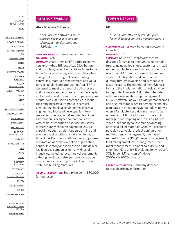<span id="page-7-0"></span>[SELECTING](#page-3-0) [ERP SOFTWARE](#page-3-0) [INDEX](#page-5-0)

[ABAS SOFTWARE AG](#page-7-0) [BOWEN & GROVES](#page-7-0) [CDC SOFTWARE](#page-8-0) [CINCOM SYSTEMS,](#page-8-0) [INC.](#page-8-0) [CONSONA CORP.](#page-9-0) [DELTEK](#page-12-0) [EPICOR](#page-12-0) [EXACT SOFTWARE](#page-13-0) [GLOBAL SHOP](#page-13-0) **[SOLUTIONS](#page-13-0)** [GLOVIA](#page-14-0) [INTERNATIONAL](#page-14-0) [IFS NORTH AMERICA](#page-14-0) [INFOR](#page-15-0) [INTUIT](#page-18-0) [IQMS](#page-18-0) [LAWSON SOFTWARE](#page-19-0) [MICROSOFT CORP.](#page-19-0) [NETSUITE INC.](#page-21-0) [ORACLE CORP.](#page-22-0) [PLEX SYSTEMS](#page-23-0) [PROFITKEY](#page-23-0) [INTERNATIONAL](#page-23-0) [QAD, INC.](#page-24-0) [RAMCO SYSTEMS](#page-24-0) [SAGE](#page-25-0) [SAP AG](#page-25-0) [SIV.AG](#page-27-0) **[SLINGSHOT](#page-28-0) [SOFTWARE](#page-28-0) [SOFTBRANDS](#page-28-0) [SOLARSOFT](#page-29-0)** [BUSINESS SYSTEMS](#page-29-0) **[SYSPRO](#page-30-0)** [UNIT 4 AGRESSO](#page-30-0) [XTUPLE](#page-31-0) [24SEVENOFFICE ASA](#page-32-0) [ABOUT SEARCH-](#page-33-0)[MANUFACTURING-](#page-33-0)[ERP. COM](#page-33-0)

[METHODOLOGY](#page-33-0)

#### **ABAS SOFTWARE AG**

#### **[Abas Business Software](http://www.abas-software.com)**

*Abas Business Software is an ERP software package for small and midmarket manufacturers and* distributors.  $\bullet$ 

#### **COMPANY WEBSITE:** [www.abas-software.com](http://www.abas-software.com) **FOUNDED:** 1980

**SUMMARY:** Abas offers its ERP software in two versions—Abas ERP and Abas Distribution and in 28 languages. Each suite includes functionality for purchasing, electronic data interchange (EDI), costing, sales, accounting, controlling, materials management and valuation, scheduling and production. Abas ERP is designed to meet the needs of both process and discrete manufacturers and can be adapted to meet specific branch or company requirements. Abas ERP serves companies in industries ranging from automotive, chemical engineering, medical engineering, electrical engineering, food and beverage, furniture, packaging, plastics, wood and textiles. Abas Distribution is designed for companies in wholesale, distribution or service industries. It offers supply chain management (SCM) capabilities such as distribution planning and plan purchasing with consideration for lead time. Abas Distribution allows users to process information at every level of an organization, control inventory and increase on-time deliveries. It serves companies in many kinds of industries, including toys, medical equipment, catering products, petroleum products trade, steel industry trade, supermarkets and concrete and building materials.

**PRICING INFORMATION:** Entry price point: \$50,000 for four users

#### **BOWEN & GROVES**

#### **[M1](http://www.bowen-groves.com/ERP_Software_M1.stm)**

*M1 is an ERP software system designed* for small to medium-sized manufacturers.  $\bullet$ 

#### **COMPANY WEBSITE:** [www.bowen-groves.com/](http://www.bowen-groves.com/index.htm) [index.htm](http://www.bowen-groves.com/index.htm) **FOUNDED:** 1992

**SUMMARY:** M1 is an ERP software system designed for small to medium-sized manufacturers, including job shops, custom and mixed mode manufacturers and make-to-order manufacturers. M1 manufacturing software provides total integration and automation from quoting through invoicing and is capable of customization. The integrated help/M1 assistant and the implementation checklist allow for rapid deployments. M1 is also integrated with customer relationship management (CRM) software, as well as with personal email and document tools. Smart screen technology eliminates the need to have multiple windows open. Manufacturing data only needs to be entered into M1 once for use in orders, job management, shipping and invoices. M1 provides functionality for estimating/quoting, advanced bill of materials (ABOM), accounts payable/receivable, product configuration, multi-currency management, purchasing request for quote (RFQ), project management, lead management, call management, document management, point of sale (POS) and shop floor data entry. Developed for Microsoft SQL Server, M1 runs on Windows 2000/XP/2003/Vista. <sup>o</sup>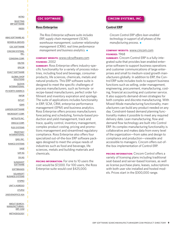<span id="page-8-0"></span>[SELECTING](#page-3-0) [ERP SOFTWARE](#page-3-0) [INDEX](#page-5-0)

[ABAS SOFTWARE AG](#page-7-0) [BOWEN & GROVES](#page-7-0) [CDC SOFTWARE](#page-8-0) [CINCOM SYSTEMS,](#page-8-0) [INC.](#page-8-0) [CONSONA CORP.](#page-9-0) [DELTEK](#page-12-0) [EPICOR](#page-12-0) [EXACT SOFTWARE](#page-13-0) [GLOBAL SHOP](#page-13-0) **[SOLUTIONS](#page-13-0)** [GLOVIA](#page-14-0) [INTERNATIONAL](#page-14-0) [IFS NORTH AMERICA](#page-14-0) [INFOR](#page-15-0) [INTUIT](#page-18-0) [IQMS](#page-18-0) [LAWSON SOFTWARE](#page-19-0) [MICROSOFT CORP.](#page-19-0) [NETSUITE INC.](#page-21-0) [ORACLE CORP.](#page-22-0) [PLEX SYSTEMS](#page-23-0) [PROFITKEY](#page-23-0) [INTERNATIONAL](#page-23-0) [QAD, INC.](#page-24-0) [RAMCO SYSTEMS](#page-24-0) [SAGE](#page-25-0) [SAP AG](#page-25-0) [SIV.AG](#page-27-0) **[SLINGSHOT](#page-28-0) [SOFTWARE](#page-28-0) [SOFTBRANDS](#page-28-0) [SOLARSOFT](#page-29-0)** [BUSINESS SYSTEMS](#page-29-0) **[SYSPRO](#page-30-0)** [UNIT 4 AGRESSO](#page-30-0) [XTUPLE](#page-31-0) [24SEVENOFFICE ASA](#page-32-0) [ABOUT SEARCH-](#page-33-0)[MANUFACTURING-](#page-33-0)[ERP. COM](#page-33-0) [METHODOLOGY](#page-33-0)

#### **CDC SOFTWARE**

#### **[Ross Enterprise](http://www.rossinc.com)**

*The Ross Enterprise software suite includes ERP, supply chain management (SCM), warehouse management, customer relationship management (CRM), real time performance management and business analytics.*  $\triangleleft$ 

#### **COMPANY WEBSITE:** [www.cdcsoftware.com](http://www.cdcsoftware.com) **FOUNDED:** 2002

**SUMMARY:** Ross Enterprise offers industry-specific functionality for a variety of process industries, including food and beverage, consumer products, life sciences, chemicals, metals and natural products. This ERP software suite is designed to meet the specific challenges of process manufacturers, such as formula- or recipe-based manufacturers, perfect order fulfillment and inventory expiration and spoilage. The suite of applications includes functionality in ERP, SCM, CRM, enterprise performance management (EPM) and business analytics. Ross Enterprise offers process manufacturers forecasting and scheduling, formula-based production and yield management, track and trace, quality control, inventory management, complex product costing, pricing and promotions management and streamlined regulatory compliance. Ross Enterprise also offers four specialized out-of-the-box ERP software packages designed to meet the unique needs of industries such as food and beverage, life sciences, metals and building materials and chemicals.

**PRICING INFORMATION:** For one to 10 users the cost would be \$7,000. For 100 users, the Ross Enterprise suite would cost \$425,000.

#### **CINCOM SYSTEMS, INC.**

#### **[Control ERP](http://www.cincomerp.com)**

*Cincom Control ERP offers lean-enabled technology in support of all phases of the manufacturing process.* 

#### **COMPANY WEBSITE:** [www.cincom.com](http://www.cincom.com) **FOUNDED:** 1968

**SUMMARY:** Cincom Control ERP is a fully-integrated suite that provides lean enabled enterprise software to support business operations and customer communications of large enterprises and small to medium-sized growth manufacturers globally. In addition to ERP, the Control ERP suite includes tools to support business functions such as selling, order management, engineering, procurement, manufacturing, costing, financial accounting and customer service. It also supports demand-driven strategies for both complex and discrete manufacturing. With Mixed-Mode manufacturing functionality, manufacturers can build any product needed on any day. Constraint-based demand planning functionality makes it possible to meet any required delivery date. Lean manufacturing, flow and demand flow technology are built into Control ERP. Its complex manufacturing functionality is collaborative and makes data from every level of the organization—from sales and design to compliance and production—viewable and accessible to managers. Cincom offers out-ofthe-box implementation of Control ERP.

**PRICING INFORMATION:** Cincom Control offers a variety of licensing plans including traditional seat-based and server-based licenses, as well as license purchase plans, leases, subscriptions with both user site installed and hosted models. Prices start in the \$300,000 range.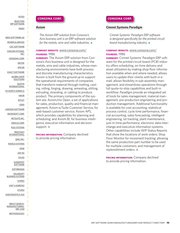<span id="page-9-0"></span>[SELECTING](#page-3-0) [ERP SOFTWARE](#page-3-0) [INDEX](#page-5-0)

[ABAS SOFTWARE AG](#page-7-0) [BOWEN & GROVES](#page-7-0) [CDC SOFTWARE](#page-8-0) [CINCOM SYSTEMS,](#page-8-0) [INC.](#page-8-0) [CONSONA CORP.](#page-9-0) [DELTEK](#page-12-0) [EPICOR](#page-12-0) [EXACT SOFTWARE](#page-13-0) [GLOBAL SHOP](#page-13-0) [SOLUTIONS](#page-13-0) [GLOVIA](#page-14-0) [INTERNATIONAL](#page-14-0) [IFS NORTH AMERICA](#page-14-0) [INFOR](#page-15-0) [INTUIT](#page-18-0) [IQMS](#page-18-0) [LAWSON SOFTWARE](#page-19-0) [MICROSOFT CORP.](#page-19-0) [NETSUITE INC.](#page-21-0) [ORACLE CORP.](#page-22-0) [PLEX SYSTEMS](#page-23-0) [PROFITKEY](#page-23-0) [INTERNATIONAL](#page-23-0) [QAD, INC.](#page-24-0) [RAMCO SYSTEMS](#page-24-0) [SAGE](#page-25-0) [SAP AG](#page-25-0) [SIV.AG](#page-27-0) **[SLINGSHOT](#page-28-0) [SOFTWARE](#page-28-0) [SOFTBRANDS](#page-28-0) [SOLARSOFT](#page-29-0)** [BUSINESS SYSTEMS](#page-29-0) **[SYSPRO](#page-30-0)** [UNIT 4 AGRESSO](#page-30-0) [XTUPLE](#page-31-0) [24SEVENOFFICE ASA](#page-32-0) [ABOUT SEARCH-](#page-33-0)[MANUFACTURING-](#page-33-0)[ERP. COM](#page-33-0) [METHODOLOGY](#page-33-0)

#### **CONSONA CORP.**

#### **[Axiom](http://www.axiscomp.com/)**

*The Axiom ERP solution from Consona's Axis business unit is an ERP software solution* for the metals, wire and cable industries.  $\bullet$ 

#### **COMPANY WEBSITE:** [www.consona.com/](http://www.consona.com/) **FOUNDED:** 1986

**SUMMARY:** The Axiom ERP solution from Consona's Axis business unit is designed for the metals, wire and cable industries, whose manufacturing environments have both process and discrete manufacturing characteristics. Axiom is built from the ground up to support the operational requirements of companies that transform material through melting, casting, rolling, forging, drawing, annealing, slitting, extruding, stranding, or cabling to produce product. The primary components of the system are: Axiom/mx Open, a set of applications for sales, production, quality and financial management; Axiom e/Suite Customer Service, for web-based customer service; Axiom APS, which provides capabilities for planning and scheduling; and Axiom BI, for business intelligence, executive information and decision support.  $\odot$ 

**PRICING INFORMATION:** Company declined to provide pricing information.

#### **CONSONA CORP.**

#### **[Cimnet Systems Paradigm](http://www.cim-sys.com/Solutions/Paradigm/Sol_Paradigm.aspx)**

*Cimnet Systems' Paradigm ERP software is designed specifically for the printed circuit board manufacturing industry.* 

#### **COMPANY WEBSITE:** [www.consona.com/](http://www.consona.com/) **FOUNDED:** 1986

**SUMMARY:** Cimnet Systems' Paradigm ERP software for the printed circuit board (PCB) industry offers scheduling, on-time delivery and asset utilization by making shop floor information available when and where needed; allows users to update their clients with built-in email; allows flexibility in sub-assembly management; and streamlines operations through full quote-to-ship capabilities and built-in workflow. Paradigm provide an integrated set of tools for sales management, material management, pre-production engineering and production management. Additional functionality is available for cost accounting, statistical process control, cycle time performance, financial accounting, sales forecasting, intelligent engineering, lot tracking, plant maintenance, just-in-time performance, electronic data interchange and executive information systems. Other capabilities include WIP Status Reports that show the locations of work orders; Shop Floor Monitor for movement tracking; allowing the same production part number to be used for multiple customers; and management of replenishment orders.  $\odot$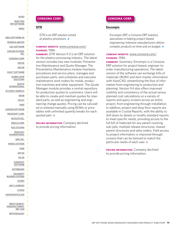[SELECTING](#page-3-0) [ERP SOFTWARE](#page-3-0) [INDEX](#page-5-0)

[ABAS SOFTWARE AG](#page-7-0) [BOWEN & GROVES](#page-7-0) [CDC SOFTWARE](#page-8-0) [CINCOM SYSTEMS,](#page-8-0) [INC.](#page-8-0) [CONSONA CORP.](#page-9-0) [DELTEK](#page-12-0) [EPICOR](#page-12-0) [EXACT SOFTWARE](#page-13-0) [GLOBAL SHOP](#page-13-0) [SOLUTIONS](#page-13-0) [GLOVIA](#page-14-0) [INTERNATIONAL](#page-14-0) [IFS NORTH AMERICA](#page-14-0) [INFOR](#page-15-0) [INTUIT](#page-18-0) [IQMS](#page-18-0) [LAWSON SOFTWARE](#page-19-0) [MICROSOFT CORP.](#page-19-0) [NETSUITE INC.](#page-21-0) [ORACLE CORP.](#page-22-0) [PLEX SYSTEMS](#page-23-0) [PROFITKEY](#page-23-0) [INTERNATIONAL](#page-23-0) [QAD, INC.](#page-24-0) [RAMCO SYSTEMS](#page-24-0) [SAGE](#page-25-0) [SAP AG](#page-25-0) [SIV.AG](#page-27-0) **[SLINGSHOT](#page-28-0) [SOFTWARE](#page-28-0) [SOFTBRANDS](#page-28-0)** [SOLARSOFT](#page-29-0) [BUSINESS SYSTEMS](#page-29-0) **[SYSPRO](#page-30-0)** [UNIT 4 AGRESSO](#page-30-0) [XTUPLE](#page-31-0) [24SEVENOFFICE ASA](#page-32-0) [ABOUT SEARCH-](#page-33-0)[MANUFACTURING-](#page-33-0)[ERP. COM](#page-33-0) [METHODOLOGY](#page-33-0)

#### **CONSONA CORP.**

#### **[DTR](http://www.dtrplastics.com/)**

*DTR is an ERP solution aimed at plastics processors.* 

#### **COMPANY WEBSITE:** [www.consona.com/](http://www.consona.com/) **FOUNDED:** 1986

**SUMMARY:** DTR Version 9.3 is an ERP solution for the plastics processing industry. The latest version includes two new modules: Preventative Maintenance and Quote Manager. The Preventative Maintenance module maintains procedures and service plans, manages and purchases parts, and schedules and executes maintenance work orders for molds, production machines and other equipment. The Quote Manager module provides a central repository for production quotes to customers. Users will be able to create and maintain quotes for standard parts, as well as engineering and engineering change quotes. Pricing can be calculated or entered manually using BOMs or price tables with unlimited quantity breaks for each quoted part.  $\odot$ 

**PRICING INFORMATION:** Company declined to provide pricing information.

#### **CONSONA CORP.**

#### **[Encompix](http://www.encompix.com/)**

*Encompix ERP, a Consona ERP solution, specializes in helping project-based, engineering-intensive manufacturers deliver complex products on time and on budget.*  $\bullet$ 

#### **COMPANY WEBSITE:** [www.consona.com/](http://www.consona.com/) **FOUNDED:** 1986

**SUMMARY:** Summary: Encompix is a Consona ERP solution for project-based, engineer-toorder manufacturing operations. The latest version of the software can exchange bills of materials (BOM) and item master information with AutoCAD, streamlining the flow of information from engineering to production and planning. Version 9.4 also offers improved visibility and consistency of the actual versus planned cost calculations on a variety of reports and query screens across an entire project, from engineering through installation. In addition, project and shop floor reports are available in Crystal Reports, with the ability to drill down to details or modify standard reports to meet specific needs, providing access to the full bill of materials for any parent covering sub-jobs, multiple release structures, shared parent structures and sales orders. Field access to project information is improved through screens that can be tailored to match the particular needs of each user. <sup>o</sup>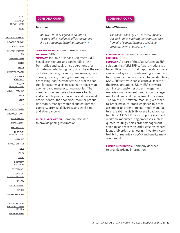[SELECTING](#page-3-0) [ERP SOFTWARE](#page-3-0) [INDEX](#page-5-0)

[ABAS SOFTWARE AG](#page-7-0) [BOWEN & GROVES](#page-7-0) [CDC SOFTWARE](#page-8-0) [CINCOM SYSTEMS,](#page-8-0) [INC.](#page-8-0) [CONSONA CORP.](#page-9-0) [DELTEK](#page-12-0) [EPICOR](#page-12-0) [EXACT SOFTWARE](#page-13-0) [GLOBAL SHOP](#page-13-0) [SOLUTIONS](#page-13-0) [GLOVIA](#page-14-0) [INTERNATIONAL](#page-14-0) [IFS NORTH AMERICA](#page-14-0) [INFOR](#page-15-0) [INTUIT](#page-18-0) [IQMS](#page-18-0) [LAWSON SOFTWARE](#page-19-0) [MICROSOFT CORP.](#page-19-0) [NETSUITE INC.](#page-21-0) [ORACLE CORP.](#page-22-0) [PLEX SYSTEMS](#page-23-0) [PROFITKEY](#page-23-0) [INTERNATIONAL](#page-23-0) [QAD, INC.](#page-24-0) [RAMCO SYSTEMS](#page-24-0) [SAGE](#page-25-0) [SAP AG](#page-25-0) [SIV.AG](#page-27-0) **[SLINGSHOT](#page-28-0) [SOFTWARE](#page-28-0) [SOFTBRANDS](#page-28-0) [SOLARSOFT](#page-29-0)** [BUSINESS SYSTEMS](#page-29-0) **[SYSPRO](#page-30-0)** [UNIT 4 AGRESSO](#page-30-0) [XTUPLE](#page-31-0) [24SEVENOFFICE ASA](#page-32-0)

#### [ABOUT SEARCH-](#page-33-0)[MANUFACTURING-](#page-33-0)[ERP. COM](#page-33-0)

[METHODOLOGY](#page-33-0)

#### **CONSONA CORP.**

#### **[Intuitive](http://www.intuitivemfg.com/)**

*Intuitive ERP is designed to handle all the front-office and back-office operations of a discrete manufacturing company.* 

#### **COMPANY WEBSITE:** [www.consona.com/](http://www.consona.com/) **FOUNDED:** 1986

**SUMMARY:** Intuitive FRP has a Microsoft NFTbased architecture, and can handle all the front-office and back-office operations of a discrete manufacturing company. The software includes planning, inventory, engineering, purchasing, finance, quoting/estimating, order processing, configurator, statistic process control, forecasting, alert messenger, project management and manufacturing modules. The manufacturing module allows users to plan and schedule production, enter and track work orders, control the shop floor, monitor production status, manage material and equipment capacity, promise deliveries, and track time and attendance.  $\odot$ 

**PRICING INFORMATION:** Company declined to provide pricing information.

#### **CONSONA CORP.**

#### **[Made2Manage](http://www.made2manage.com/ERP-Software.aspx)**

*The Made2Manage ERP software module is a back-office platform that captures data from all of a manufacturer's production processes in one database.* 

#### **COMPANY WEBSITE:** [www.consona.com/](http://www.consona.com/) **FOUNDED:** 1986

**SUMMARY:** As part of the Made2Manage ERP solution, the M2M ERP software module is a back-office platform that captures data in one centralized system. By integrating a manufacturer's production processes into one database, M2M ERP software can execute all facets of the firm's operations. M2M ERP software administers customer order management, materials management, production management and financial management processes. The M2M ERP software module gives maketo-order, make-to-stock, engineer-to-order, assemble-to-order or mixed-mode manufacturers real-time visibility over all back-office functions. M2M ERP also supports standard workflow manufacturing processes such as quotes, routings, sales order management, shipping and receiving, order costing, general ledger, job order, engineering, inventory control, bill of materials (BOM) and quality management.  $\odot$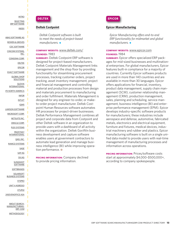#### <span id="page-12-0"></span>[INTRO](#page-2-0) [SELECTING](#page-3-0)

[ERP SOFTWARE](#page-3-0) [INDEX](#page-5-0)

[ABAS SOFTWARE AG](#page-7-0) [BOWEN & GROVES](#page-7-0) [CDC SOFTWARE](#page-8-0) [CINCOM SYSTEMS,](#page-8-0) [INC.](#page-8-0) [CONSONA CORP.](#page-9-0) [DELTEK](#page-12-0) [EPICOR](#page-12-0) [EXACT SOFTWARE](#page-13-0) [GLOBAL SHOP](#page-13-0) [SOLUTIONS](#page-13-0) [GLOVIA](#page-14-0) [INTERNATIONAL](#page-14-0) [IFS NORTH AMERICA](#page-14-0) [INFOR](#page-15-0) [INTUIT](#page-18-0) [IQMS](#page-18-0) [LAWSON SOFTWARE](#page-19-0) [MICROSOFT CORP.](#page-19-0) [NETSUITE INC.](#page-21-0) [ORACLE CORP.](#page-22-0) [PLEX SYSTEMS](#page-23-0) [PROFITKEY](#page-23-0) [INTERNATIONAL](#page-23-0) [QAD, INC.](#page-24-0) [RAMCO SYSTEMS](#page-24-0) [SAGE](#page-25-0) [SAP AG](#page-25-0) [SIV.AG](#page-27-0) **[SLINGSHOT](#page-28-0) [SOFTWARE](#page-28-0) [SOFTBRANDS](#page-28-0) [SOLARSOFT](#page-29-0)** [BUSINESS SYSTEMS](#page-29-0) **[SYSPRO](#page-30-0)** [UNIT 4 AGRESSO](#page-30-0) [XTUPLE](#page-31-0) [24SEVENOFFICE ASA](#page-32-0) [ABOUT SEARCH-](#page-33-0)[MANUFACTURING-](#page-33-0)[ERP. COM](#page-33-0)

[METHODOLOGY](#page-33-0)



#### **[Deltek Costpoint](http://www.deltek.com/products/costpoint/default.asp)**

*Deltek Costpoint software is built to meet the needs of project-based manufacturers.*  $\triangleleft$ 

#### **COMPANY WEBSITE:** [www.deltek.com/](http://www.deltek.com/) **FOUNDED:** 1983

**SUMMARY:** Deltek Costpoint ERP software is designed for project-based manufacturers. Deltek Costpoint Materials Management links management and the shop floor by providing functionality for streamlining procurement processes, tracking customer orders, project tracking, asset inventory management, project and financial management and controlling material and production processes from design and materials procurement to manufacturing and order fulfillment. Materials Management is designed for any engineer-to-order, or maketo-order project manufacturer. Deltek Costpoint Human Resources software automates HR processes for project-driven businesses. Deltek Performance Management combines all project and corporate data from Costpoint and other Deltek software in an organization to provide users with a dashboard of all activity within the organization. Deltek GovWin business development and capture software enables users at government contractors to automate lead generation and manage business intelligence (BI) while improving operation performance.  $\bullet$ 

**PRICING INFORMATION:** Company declined to provide pricing information.



#### **[Epicor Manufacturing](http://www.epicor.com/Solutions/Pages/ERP.aspx)**

*Epicor Manufacturing offers end-to-end ERP functionality for midmarket and global* manufacturers.  $\bullet$ 

#### **COMPANY WEBSITE:** [www.epicor.com](http://www.epicor.com) **FOUNDED:** 1984

**SUMMARY:** Epicor offers specialized ERP packages for mid-sized businesses and multinational enterprises. For global manufacturers, Epicor features built-in compliance for a majority of countries. Currently Epicor software products are used in more than 140 countries and are available in more than 30 languages. Epicor offers applications for financial, inventory, product data management, supply chain management (SCM), customer relationship management (CRM), production management, sales, planning and scheduling, service management, business intelligence (BI) and enterprise performance management (EPM). Epicor develops industry-specific software products for manufacturers; these industries include aerospace and defense, automotive, fabricated metals, electronics and electrical equipment, furniture and fixtures, medical devices, industrial machinery and rubber and plastics. Epicor manufacturing software is built on a single unified data model to provide users with real-time management of manufacturing processes and information across operations.

**PRICING INFORMATION:** Prices/software costs start at approximately \$4,000–\$500,000+, according to company spokespeople.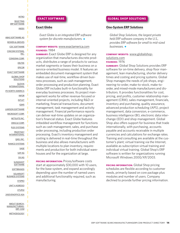<span id="page-13-0"></span>[SELECTING](#page-3-0) [ERP SOFTWARE](#page-3-0) [INDEX](#page-5-0)

[ABAS SOFTWARE AG](#page-7-0) [BOWEN & GROVES](#page-7-0) [CDC SOFTWARE](#page-8-0) [CINCOM SYSTEMS,](#page-8-0) [INC.](#page-8-0) [CONSONA CORP.](#page-9-0) [DELTEK](#page-12-0) [EPICOR](#page-12-0) [EXACT SOFTWARE](#page-13-0) [GLOBAL SHOP](#page-13-0) [SOLUTIONS](#page-13-0) [GLOVIA](#page-14-0) [INTERNATIONAL](#page-14-0) [IFS NORTH AMERICA](#page-14-0) [INFOR](#page-15-0) [INTUIT](#page-18-0) [IQMS](#page-18-0) [LAWSON SOFTWARE](#page-19-0) [MICROSOFT CORP.](#page-19-0) [NETSUITE INC.](#page-21-0) [ORACLE CORP.](#page-22-0) [PLEX SYSTEMS](#page-23-0) [PROFITKEY](#page-23-0) [INTERNATIONAL](#page-23-0) [QAD, INC.](#page-24-0) [RAMCO SYSTEMS](#page-24-0) [SAGE](#page-25-0) [SAP AG](#page-25-0) [SIV.AG](#page-27-0) **[SLINGSHOT](#page-28-0) [SOFTWARE](#page-28-0) [SOFTBRANDS](#page-28-0) [SOLARSOFT](#page-29-0)** [BUSINESS SYSTEMS](#page-29-0) **[SYSPRO](#page-30-0)** [UNIT 4 AGRESSO](#page-30-0) [XTUPLE](#page-31-0) [24SEVENOFFICE ASA](#page-32-0) [ABOUT SEARCH-](#page-33-0)[MANUFACTURING-](#page-33-0)[ERP. COM](#page-33-0)

[METHODOLOGY](#page-33-0)

#### **EXACT SOFTWARE**

#### **[Exact Globe](http://www.exactamerica.com/globe/)**

*Exact Globe is an integrated ERP software* system for discrete manufacturers.  $\bullet$ 

#### **COMPANY WEBSITE:** [www.exactamerica.com](http://www.exactamerica.com/) **FOUNDED:** 1984

**SUMMARY:** Exact Globe ERP is designed for any organization that manufactures discrete products, distributes a range of products to various market segments or bases their business on a service-oriented business model. It features an embedded document management system that makes use of real-time, workflow-driven business processes, such as cash management, order processing and production planning. Exact Globe ERP includes built-in functionality for everyday business processes. Its project management works for either revenue-focused or internal-oriented projects, including R&D or marketing, financial transactions, document management, task management and activity management. Financial performance reports can deliver real-time updates on an organization's financial status. Exact Globe features imbedded workflow management for functions such as cash management, sales, and purchase order processing, including production order processing. Exact's inventory management and costing is delivered in real-time throughout the business and also allows manufacturers with multiple locations to plan inventory, requirements and production for both individual warehouses and for the organization at large.

**PRICING INFORMATION: Prices/software costs** start at approximately \$30,000 with 10 users, for the base system, and expand accordingly depending upon the number of named users and additional functionality required, such as manufacturing.

#### **GLOBAL SHOP SOLUTIONS**

#### **[One-System ERP Solutions](http://www.globalshopsolutions.com/erp_software.cfm)**

*Global Shop Solutions, the largest private held ERP software company in the U.S., provides ERP software for small to mid-sized businesses.* •

#### **COMPANY WEBSITE:** [www.globalshop](http://www.globalshopsolutions.com/Our-Company.cfm)[solutions.com](http://www.globalshopsolutions.com/Our-Company.cfm)

#### **FOUNDED:** 1976

**SUMMARY:** Global Shop Solutions provides ERP software for on-time delivery, shop floor management, lean manufacturing, shorter delivery times and costing and pricing systems. Global Shop manages the needs of job shops, engineering-to-order, make-to-stock, make-toorder, and mixed-mode manufacturers and distributors. It provides functionalities for cost, pricing, and profits, customer relationship management (CRM), sales management, financials, inventory and purchasing, quality assurance, advanced production scheduling (APS), project management, data conversion, e-commerce, business intelligence (BI), electronic data interchange (EDI) and shop management. Global Shop also offers support for business that trade internationally, with purchasing, accounts payable and accounts receivable in multiple currencies and calculations for exchange rates. Training and consulting are available at the customer's plant; virtual training via the Internet, available as subscription virtual training and individual virtual training. Global Shop's ERP software is written for organizations running Microsoft Windows 2000/XP/2003.

**PRICING INFORMATION:** Global Shop pricing schedules are flexible according to customer needs, primarily based on core package plus modules and number of users. Company declined to provide further pricing information.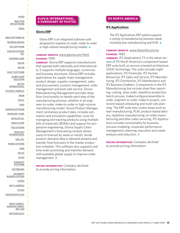<span id="page-14-0"></span>[SELECTING](#page-3-0) [ERP SOFTWARE](#page-3-0) [INDEX](#page-5-0)

[ABAS SOFTWARE AG](#page-7-0) [BOWEN & GROVES](#page-7-0) [CDC SOFTWARE](#page-8-0) [CINCOM SYSTEMS,](#page-8-0) [INC.](#page-8-0) [CONSONA CORP.](#page-9-0) [DELTEK](#page-12-0) [EPICOR](#page-12-0) [EXACT SOFTWARE](#page-13-0) [GLOBAL SHOP](#page-13-0) **[SOLUTIONS](#page-13-0)** [GLOVIA](#page-14-0) [INTERNATIONAL](#page-14-0) [IFS NORTH AMERICA](#page-14-0) [INFOR](#page-15-0) [INTUIT](#page-18-0) [IQMS](#page-18-0) [LAWSON SOFTWARE](#page-19-0) [MICROSOFT CORP.](#page-19-0) [NETSUITE INC.](#page-21-0) [ORACLE CORP.](#page-22-0) [PLEX SYSTEMS](#page-23-0) [PROFITKEY](#page-23-0) [INTERNATIONAL](#page-23-0) [QAD, INC.](#page-24-0) [RAMCO SYSTEMS](#page-24-0) [SAGE](#page-25-0) [SAP AG](#page-25-0) [SIV.AG](#page-27-0) **[SLINGSHOT](#page-28-0) [SOFTWARE](#page-28-0) [SOFTBRANDS](#page-28-0)** [SOLARSOFT](#page-29-0) [BUSINESS SYSTEMS](#page-29-0) **[SYSPRO](#page-30-0)** [UNIT 4 AGRESSO](#page-30-0) [XTUPLE](#page-31-0) [24SEVENOFFICE ASA](#page-32-0) [ABOUT SEARCH-](#page-33-0)[MANUFACTURING-](#page-33-0)[ERP. COM](#page-33-0)

#### [METHODOLOGY](#page-33-0)

#### **GLOVIA INTERNATIONAL, A SUBSIDIARY OF FUJITSU**

#### **[Glovia ERP](http://www.glovia.com/html/products/modules/)**

*Glovia ERP is an integrated software suite designed for engineer-to-order, make-to-order or high-volume manufacturing models.*  $\bullet$ 

#### **COMPANY WEBSITE:** [www.glovia.com/html](http://www.glovia.com/html) **FOUNDED:** 1990

**SUMMARY:** Glovia ERP supports manufacturers that operate both nationally and internationally. It supports multiple languages, currencies and business structures. Glovia ERP includes applications for supply chain management, product design, supplier management, sales and procurement, product management, order management and post-sale service. Glovia Manufacturing Management provides shop floor functionality to handle each step of the manufacturing process, whether in an engineer-to-order, make-to-order or high-volume manufacturing model. Glovia Product Management centralizes product data, includes estimation and simulation capabilities, tools for managing and tracking products using multiple bills of materials (BOMs) and support for progressive engineering. Glovia Supply Chain Management's forecasting module allows users to forecast by week or month, divide product-demand data in demand streams and transfer final forecasts to the master production schedule. This software also supports realtime order promising and matches demand with available global supply to improve order management. <sup>o</sup>

**PRICING INFORMATION:** Company declined to provide pricing information.

#### **IFS NORTH AMERICA**

#### **[IFS Applications](http://www.ifsworld.com/us/solutions2/manufacturing/default.asp)**

*The IFS Applications ERP system supports a variety of manufacturing business needs including lean manufacturing and PLM.* 

#### **COMPANY WEBSITE:** [www.ifsworld.com/us](http://www.ifsworld.com/us) **FOUNDED:** 1983

**SUMMARY:** IFS Applications 7.5 is the latest version of IFS North America's component-based ERP suite built on service-oriented architecture (SOA) technology. The suite includes eight applications: IFS Financials, IFS Human Resources, IFS Sales and Service, IFS Manufacturing, IFS Distribution, IFS Maintenance and IFS Business Enablers. Components in the IFS Manufacturing line include shop floor reporting, costing, shop order, repetitive production, batch process, make/configure/assemble to order, engineer to order, make to project, constraint-based scheduling and multi-site planning. The ERP suite also covers areas such as lean manufacturing, PLM, product-based delivery, repetitive manufacturing, to-order manufacturing and after-sales servicing. IFS Applications includes functionality for business process modeling, corporate performance management, planning, execution and waste analysis and reduction.  $\odot$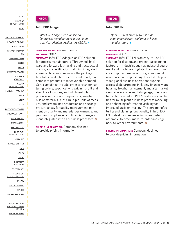<span id="page-15-0"></span>[SELECTING](#page-3-0) [ERP SOFTWARE](#page-3-0) [INDEX](#page-5-0)

[ABAS SOFTWARE AG](#page-7-0) [BOWEN & GROVES](#page-7-0) [CDC SOFTWARE](#page-8-0) [CINCOM SYSTEMS,](#page-8-0) [INC.](#page-8-0) [CONSONA CORP.](#page-9-0) [DELTEK](#page-12-0) [EPICOR](#page-12-0) [EXACT SOFTWARE](#page-13-0) [GLOBAL SHOP](#page-13-0) [SOLUTIONS](#page-13-0) [GLOVIA](#page-14-0) [INTERNATIONAL](#page-14-0) [IFS NORTH AMERICA](#page-14-0) [INFOR](#page-15-0) [INTUIT](#page-18-0) [IQMS](#page-18-0) [LAWSON SOFTWARE](#page-19-0) [MICROSOFT CORP.](#page-19-0) [NETSUITE INC.](#page-21-0) [ORACLE CORP.](#page-22-0) [PLEX SYSTEMS](#page-23-0) [PROFITKEY](#page-23-0) [INTERNATIONAL](#page-23-0) [QAD, INC.](#page-24-0) [RAMCO SYSTEMS](#page-24-0) [SAGE](#page-25-0) [SAP AG](#page-25-0) [SIV.AG](#page-27-0) **[SLINGSHOT](#page-28-0) [SOFTWARE](#page-28-0) [SOFTBRANDS](#page-28-0) [SOLARSOFT](#page-29-0)** [BUSINESS SYSTEMS](#page-29-0) **[SYSPRO](#page-30-0)** [UNIT 4 AGRESSO](#page-30-0) [XTUPLE](#page-31-0) [24SEVENOFFICE ASA](#page-32-0) [ABOUT SEARCH-](#page-33-0)[MANUFACTURING-](#page-33-0)[ERP. COM](#page-33-0)

[METHODOLOGY](#page-33-0)



#### **[Infor ERP Adage](http://www.infor.com/product_summary/erp/adage)**

*Infor ERP Adage is an ERP solution for process manufacturers. It is built on a service-oriented architecture (SOA). ◆* 

#### **COMPANY WEBSITE:** [www.infor.com](http://www.infor.com) **FOUNDED:** 2002

**SUMMARY:** Infor ERP Adage is an ERP solution for process manufacturers. Through full backward and forward lot tracking and trace, actual costing and specification matching integrated across all business processes, the package facilitates production of consistent quality and compliant products to meet variable demand. Core capabilities include: order to cash for capturing orders, specifications, pricing, profit and shelf life allocations, and fulfillment; plan to produce with co- and by-products, inverted bills of material (BOM), multiple units of measure, and streamlined production and packing; procure to pay for quality management, payment on quality and material performance, and payment compliance; and financial management integrated into all business processes.  $\bullet$ 

**PRICING INFORMATION:** Company declined to provide pricing information.



#### **[Infor ERP LN](http://www.infor.com/product_summary/erp/ln/)**

*Infor ERP LN is an easy-to-use ERP solution for discrete and project-based manufacturers.*  $\rightarrow$ 

#### **COMPANY WEBSITE:** [www.infor.com](http://www.infor.com) **FOUNDED:** 2002

**SUMMARY:** Infor ERP LN is an easy-to-use ERP solution for discrete and project-based manufacturers in industries such as industrial equipment and machinery, high-tech and electronics, component manufacturing, commercial aerospace and shipbuilding. Infor ERP LN provides global business operations support across all departments including finance, warehousing, freight management, and aftermarket service. A scalable, multi-language, open systems platform, Infor ERP LN features capabilities for multi-plant business process modeling and enhancing information visibility for improved decision-making. The core manufacturing and planning functionality in Infor ERP LN is ideal for companies in make-to-stock, assemble-to-order, make-to-order and engineer-to-order environments. <sup>o</sup>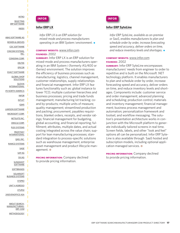[SELECTING](#page-3-0) [ERP SOFTWARE](#page-3-0) [INDEX](#page-5-0)

[ABAS SOFTWARE AG](#page-7-0) [BOWEN & GROVES](#page-7-0) [CDC SOFTWARE](#page-8-0) [CINCOM SYSTEMS,](#page-8-0) [INC.](#page-8-0) [CONSONA CORP.](#page-9-0) [DELTEK](#page-12-0) [EPICOR](#page-12-0) [EXACT SOFTWARE](#page-13-0) [GLOBAL SHOP](#page-13-0) [SOLUTIONS](#page-13-0) [GLOVIA](#page-14-0) [INTERNATIONAL](#page-14-0) [IFS NORTH AMERICA](#page-14-0) [INFOR](#page-15-0) [INTUIT](#page-18-0) [IQMS](#page-18-0) [LAWSON SOFTWARE](#page-19-0) [MICROSOFT CORP.](#page-19-0) [NETSUITE INC.](#page-21-0) [ORACLE CORP.](#page-22-0) [PLEX SYSTEMS](#page-23-0) [PROFITKEY](#page-23-0) [INTERNATIONAL](#page-23-0) [QAD, INC.](#page-24-0) [RAMCO SYSTEMS](#page-24-0) [SAGE](#page-25-0) [SAP AG](#page-25-0) [SIV.AG](#page-27-0) **[SLINGSHOT](#page-28-0) [SOFTWARE](#page-28-0) [SOFTBRANDS](#page-28-0) [SOLARSOFT](#page-29-0)** [BUSINESS SYSTEMS](#page-29-0) **[SYSPRO](#page-30-0)** [UNIT 4 AGRESSO](#page-30-0) [XTUPLE](#page-31-0) [24SEVENOFFICE ASA](#page-32-0) [ABOUT SEARCH-](#page-33-0)[MANUFACTURING-](#page-33-0)[ERP. COM](#page-33-0) [METHODOLOGY](#page-33-0)



#### **[Infor ERP LX](http://www.infor.com/product_summary/erp/lx/)**

*Infor ERP LX is an ERP solution for mixed-mode and process manufacturers operating in an IBM System i environment. ◆* 

#### **COMPANY WEBSITE:** [www.infor.com](http://www.infor.com) **FOUNDED:** 2002

**SUMMARY:** Infor ERP LX is an ERP solution for mixed-mode and process manufacturers operating in an IBM System i (formerly AS/400 or iSeries) environment. The solution improves the efficiency of business processes such as manufacturing, logistics, channel management, customer relationships, supply relationships and financial management. Infor ERP LX features functionality such as: global instance to lower TCO; multiple customer hierarchies and business processes; pricing and trade funds management; manufacturing lot tracking; coand by-products; multiple units of measure; quality management; streamlined production and packing; procurement, payables requisitions, blanket orders, receipts, and vendor ratings; financial management for budgeting, global accounting, and financial reporting; fulfillment; attributes, multiple dates, and actual costing integrated across the value chain; support for lean manufacturing processes; standard integration to process-specific solutions such as warehouse management, enterprise asset management and product lifecycle management.  $\odot$ 

**PRICING INFORMATION:** Company declined to provide pricing information.



#### **[Infor ERP SyteLine](http://www.infor.com/product_summary/erp/sl/)**

*Infor ERP SyteLine, available as on-premise or SaaS, enables manufacturers to plan and schedule order by order, increase forecasting speed and accuracy, deliver orders on time,* and reduce inventory levels and shortages.  $\bullet$ 

#### **COMPANY WEBSITE:** [www.infor.com](http://www.infor.com) **FOUNDED:** 2002

**SUMMARY:** Infor ERP SyteLine encompasses manufacturers' needs from engineer to order to repetitive and is built on the Microsoft .NET technology platform. It enables manufacturers to plan and schedule order by order, increase forecasting speed and accuracy, deliver orders on time, and reduce inventory levels and shortages. Components include: customer service and order management; advanced planning and scheduling; production control; materials and inventory management; financial management; business process management and automation; personalization framework and toolset; and workflow messaging. The solution's presentation architecture works in conjunction with the Microsoft platform to generate individually tailored screens in real time. Screen fields, labels, and other "look and feel" options all can be personalized. Infor ERP Syte-Line is also available through SaaS hosted and subscription models, including optional application managed services.  $\odot$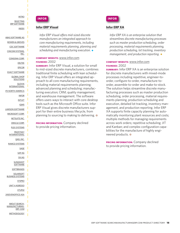[SELECTING](#page-3-0) [ERP SOFTWARE](#page-3-0) [INDEX](#page-5-0)

[ABAS SOFTWARE AG](#page-7-0) [BOWEN & GROVES](#page-7-0) [CDC SOFTWARE](#page-8-0) [CINCOM SYSTEMS,](#page-8-0) [INC.](#page-8-0) [CONSONA CORP.](#page-9-0) [DELTEK](#page-12-0) [EPICOR](#page-12-0) [EXACT SOFTWARE](#page-13-0) [GLOBAL SHOP](#page-13-0) **[SOLUTIONS](#page-13-0)** [GLOVIA](#page-14-0) [INTERNATIONAL](#page-14-0) [IFS NORTH AMERICA](#page-14-0) [INFOR](#page-15-0) [INTUIT](#page-18-0) [IQMS](#page-18-0) [LAWSON SOFTWARE](#page-19-0) [MICROSOFT CORP.](#page-19-0) [NETSUITE INC.](#page-21-0) [ORACLE CORP.](#page-22-0) [PLEX SYSTEMS](#page-23-0) [PROFITKEY](#page-23-0) [INTERNATIONAL](#page-23-0) [QAD, INC.](#page-24-0) [RAMCO SYSTEMS](#page-24-0) [SAGE](#page-25-0) [SAP AG](#page-25-0) [SIV.AG](#page-27-0) **[SLINGSHOT](#page-28-0) [SOFTWARE](#page-28-0) [SOFTBRANDS](#page-28-0) [SOLARSOFT](#page-29-0)** [BUSINESS SYSTEMS](#page-29-0) **[SYSPRO](#page-30-0)** [UNIT 4 AGRESSO](#page-30-0) [XTUPLE](#page-31-0) [24SEVENOFFICE ASA](#page-32-0) [ABOUT SEARCH-](#page-33-0)[MANUFACTURING-](#page-33-0)[ERP. COM](#page-33-0) [METHODOLOGY](#page-33-0)



#### **[Infor ERP Visual](http://www.infor.com/product_summary/erp/visual/)**

*Infor ERP Visual offers mid-sized discrete manufacturers an integrated approach to core manufacturing requirements, including material requirements planning, planning and* scheduling and manufacturing execution.  $\bullet$ 

## **COMPANY WEBSITE:** [www.infor.com](http://www.infor.com)

**FOUNDED:** 2002

**SUMMARY:** Infor ERP Visual, a solution for small to mid-sized discrete manufacturers, combines traditional finite scheduling with lean scheduling. Infor ERP Visual offers an integrated approach to all core manufacturing requirements, including material requirements planning; advanced planning and scheduling; manufacturing execution; CRM; quality management; and warehouse management. The software offers users ways to interact with core desktop tools such as the Microsoft Office suite. Infor ERP Visual gives discrete manufacturers support for their entire business lifecycle, from planning to sourcing to making to delivering.  $\bullet$ 

**PRICING INFORMATION:** Company declined to provide pricing information.



#### **[Infor ERP XA](http://www.infor.com/product_summary/erp/xa/)**

*Infor ERP XA is an enterprise solution that streamlines discrete manufacturing processes such as master production scheduling, order processing, material requirements planning, production scheduling, lot tracking, inventory management, and production reporting.* 

#### **COMPANY WEBSITE:** [www.infor.com](http://www.infor.com) **FOUNDED:** 2002

**SUMMARY:** Infor ERP XA is an enterprise solution for discrete manufacturers with mixed-mode processes including repetitive, engineer-toorder, configure-to-order, manufacture-toorder, assemble-to-order and make-to-stock. The solution helps streamline discrete manufacturing processes such as master production scheduling, order processing, material requirements planning, production scheduling and execution, detailed lot tracking, inventory management, and production reporting. Infor ERP XA supports finite capacity planning for automatically monitoring plant resources and costs; multiple methods for managing requirements across work orders; repetitive scheduling; JIT and Kanban; and complex configuration capabilities for the manufacture of highly engineered products. <sup>o</sup>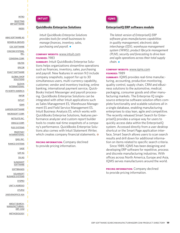#### <span id="page-18-0"></span>[INTRO](#page-2-0) [SELECTING](#page-3-0) [ERP SOFTWARE](#page-3-0)

[INDEX](#page-5-0)

[ABAS SOFTWARE AG](#page-7-0) [BOWEN & GROVES](#page-7-0) [CDC SOFTWARE](#page-8-0) [CINCOM SYSTEMS,](#page-8-0) [INC.](#page-8-0) [CONSONA CORP.](#page-9-0) [DELTEK](#page-12-0) [EPICOR](#page-12-0) [EXACT SOFTWARE](#page-13-0) [GLOBAL SHOP](#page-13-0) [SOLUTIONS](#page-13-0) [GLOVIA](#page-14-0) [INTERNATIONAL](#page-14-0) [IFS NORTH AMERICA](#page-14-0) [INFOR](#page-15-0) [INTUIT](#page-18-0) [IQMS](#page-18-0) [LAWSON SOFTWARE](#page-19-0) [MICROSOFT CORP.](#page-19-0) [NETSUITE INC.](#page-21-0) [ORACLE CORP.](#page-22-0) [PLEX SYSTEMS](#page-23-0) [PROFITKEY](#page-23-0) [INTERNATIONAL](#page-23-0) [QAD, INC.](#page-24-0) [RAMCO SYSTEMS](#page-24-0) [SAGE](#page-25-0) [SAP AG](#page-25-0) [SIV.AG](#page-27-0) **[SLINGSHOT](#page-28-0) [SOFTWARE](#page-28-0) [SOFTBRANDS](#page-28-0) [SOLARSOFT](#page-29-0)** [BUSINESS SYSTEMS](#page-29-0) **[SYSPRO](#page-30-0)** [UNIT 4 AGRESSO](#page-30-0) [XTUPLE](#page-31-0) [24SEVENOFFICE ASA](#page-32-0) [ABOUT SEARCH-](#page-33-0)[MANUFACTURING-](#page-33-0)[ERP. COM](#page-33-0) [METHODOLOGY](#page-33-0)



#### **[QuickBooks Enterprise Solutions](http://enterprisesuite.intuit.com/products/enterprise-solutions)**

*Intuit QuickBooks Enterprise Solutions provides tools for small businesses to manage finances, inventory, sales, purchasing and payroll.* 

#### **COMPANY WEBSITE:** [www.intuit.com](http://www.intuit.com) **FOUNDED:** 1983

**SUMMARY:** Intuit QuickBooks Enterprise Solutions helps organizations streamline operations such as finances, inventory, sales, purchasing and payroll. New features in version 9.0 include company snapshots, support for up to 30 simultaneous users, multi-currency capability, customer, vendor and inventory tracking, online banking, international payment service, Quick-Books Instant Messenger and payroll processing. QuickBooks Enterprise Solutions can be integrated with other Intuit applications such as Sales Management ES, Warehouse Management ES and Field Service Management ES. Intuit Business Analysis ES, which works with QuickBooks Enterprise Solutions, features performance analyzer and custom report builder tools to create real-time snapshots of a company's performance. QuickBooks Enterprise Solutions also comes with Intuit Statement Writer, which creates company financial statements.  $\odot$ 

**PRICING INFORMATION:** Company declined to provide pricing information.



#### **[EnterpriseIQ ERP software module](http://www.iqms.com/products/erp/)**

*The latest version of EnterpriseIQ ERP software gives manufacturers capabilities in quality management, electronic data interchange (EDI), warehouse management system (WMS), product lifecycle management (PLM), security and forecasting to drive lean and agile operations across their total supply* chain.  $\bullet$ 

#### **COMPANY WEBSITE:** [www.iqms.com](http://www.iqms.com) **FOUNDED:** 1989

**SUMMARY:** IQMS provides real-time manufacturing, accounting, production monitoring, quality control, supply chain, CRM and eBusiness solutions to the automotive, medical, packaging, consumer goods and other manufacturing markets. The Enterprise IQ singlesource enterprise software solution offers complete functionality and scalable solutions all in a single database, enabling manufacturing enterprises to stay lean, agile and competitive. The recently released Smart Search for EnterpriseIQ provides a unique way for users to quickly access data within the EnterpriseIQ system. Accessed directly from a user desktop shortcut or the Smart Page application interface, Smart Search allows users to scan search results and drill down for additional information on items related to specific search criteria.

Since 1989, IQMS has been designing and developing ERP software for repetitive, process and discrete manufacturing industries. With offices across North America, Europe and Asia, IQMS serves manufacturers around the world.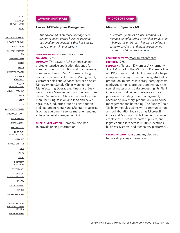#### <span id="page-19-0"></span>[INTRO](#page-2-0) [SELECTING](#page-3-0)

[ERP SOFTWARE](#page-3-0) [INDEX](#page-5-0)

[ABAS SOFTWARE AG](#page-7-0) [BOWEN & GROVES](#page-7-0) [CDC SOFTWARE](#page-8-0) [CINCOM SYSTEMS,](#page-8-0) [INC.](#page-8-0) [CONSONA CORP.](#page-9-0) [DELTEK](#page-12-0) [EPICOR](#page-12-0) [EXACT SOFTWARE](#page-13-0) [GLOBAL SHOP](#page-13-0) [SOLUTIONS](#page-13-0) [GLOVIA](#page-14-0) [INTERNATIONAL](#page-14-0) [IFS NORTH AMERICA](#page-14-0) [INFOR](#page-15-0) [INTUIT](#page-18-0) [IQMS](#page-18-0) [LAWSON SOFTWARE](#page-19-0) [MICROSOFT CORP.](#page-19-0) [NETSUITE INC.](#page-21-0) [ORACLE CORP.](#page-22-0) [PLEX SYSTEMS](#page-23-0) [PROFITKEY](#page-23-0) [INTERNATIONAL](#page-23-0) [QAD, INC.](#page-24-0) [RAMCO SYSTEMS](#page-24-0) [SAGE](#page-25-0) [SAP AG](#page-25-0) [SIV.AG](#page-27-0) **[SLINGSHOT](#page-28-0) [SOFTWARE](#page-28-0) [SOFTBRANDS](#page-28-0) [SOLARSOFT](#page-29-0)** [BUSINESS SYSTEMS](#page-29-0) **[SYSPRO](#page-30-0)** [UNIT 4 AGRESSO](#page-30-0) [XTUPLE](#page-31-0) [24SEVENOFFICE ASA](#page-32-0) [ABOUT SEARCH-](#page-33-0)[MANUFACTURING-](#page-33-0)[ERP. COM](#page-33-0) [METHODOLOGY](#page-33-0)

#### **LAWSON SOFTWARE**

#### **[Lawson M3 Enterprise Management](http://www.lawson.com/wcw.nsf/pub/m3)**

*The Lawson M3 Enterprise Management system is an integrated business package designed for organizations that have make, move or maintain processes.* 

#### **COMPANY WEBSITE:** [www.lawson.com](http://www.lawson.com) **FOUNDED:** 1975

**SUMMARY:** The Lawson M3 system is an integrated enterprise application designed for manufacturing, distribution and maintenance companies. Lawson M3 7.1 consists of eight suites: Enterprise Performance Management; Customer Sales and Service; Enterprise Asset Management; Supply Chain Management; Manufacturing Operations; Financials; Business Process Management; and System Foundation. M3 refers to Make industries (such as manufacturing, fashion and food and beverage), Move industries (such as distribution and equipment rental) and Maintain industries (such as equipment service management and enterprise asset management).  $\bullet$ 

**PRICING INFORMATION:** Company declined to provide pricing information.

#### **MICROSOFT CORP.**

#### **[Microsoft Dynamics AX](http://www.microsoft.com/dynamics/ax/product/manufacturing.mspx)**

*Microsoft Dynamics AX helps companies manage manufacturing, streamline production, minimize inventory-carrying costs, configure complex products, and manage personnel, material and data processing.* 

#### **COMPANY WEBSITE:** [www.microsoft.com](http://www.microsoft.com) **FOUNDED:** 1975

**SUMMARY:** Microsoft Dynamics AX (formerly Axapta) is part of the Microsoft Dynamics line of ERP software products. Dynamics AX helps companies manage manufacturing, streamline production, minimize inventory-carrying costs, configure complex products, and manage personnel, material and data processing. Its Plant Operations module helps integrate critical processes, including order management, accounting, inventory, production, warehouse management and barcoding. The Supply Chain Visibility modules works with communication and collaboration tools such as Microsoft Office and Microsoft BizTalk Server to connect employees, customers, parts suppliers, and logistics suppliers across multiple locations, business systems, and technology platforms.  $\odot$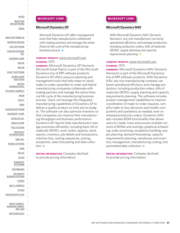[SELECTING](#page-3-0) [ERP SOFTWARE](#page-3-0) [INDEX](#page-5-0)

[ABAS SOFTWARE AG](#page-7-0) [BOWEN & GROVES](#page-7-0) [CDC SOFTWARE](#page-8-0) [CINCOM SYSTEMS,](#page-8-0) [INC.](#page-8-0) [CONSONA CORP.](#page-9-0) [DELTEK](#page-12-0) [EPICOR](#page-12-0) [EXACT SOFTWARE](#page-13-0) [GLOBAL SHOP](#page-13-0) [SOLUTIONS](#page-13-0) [GLOVIA](#page-14-0) [INTERNATIONAL](#page-14-0) [IFS NORTH AMERICA](#page-14-0) [INFOR](#page-15-0) [INTUIT](#page-18-0) [IQMS](#page-18-0) [LAWSON SOFTWARE](#page-19-0) [MICROSOFT CORP.](#page-19-0) [NETSUITE INC.](#page-21-0) [ORACLE CORP.](#page-22-0) [PLEX SYSTEMS](#page-23-0) [PROFITKEY](#page-23-0) [INTERNATIONAL](#page-23-0) [QAD, INC.](#page-24-0) [RAMCO SYSTEMS](#page-24-0) [SAGE](#page-25-0) [SAP AG](#page-25-0) [SIV.AG](#page-27-0) **[SLINGSHOT](#page-28-0) [SOFTWARE](#page-28-0) [SOFTBRANDS](#page-28-0) [SOLARSOFT](#page-29-0)** [BUSINESS SYSTEMS](#page-29-0) **[SYSPRO](#page-30-0)** [UNIT 4 AGRESSO](#page-30-0) [XTUPLE](#page-31-0) [24SEVENOFFICE ASA](#page-32-0) [ABOUT SEARCH-](#page-33-0)[MANUFACTURING-](#page-33-0)[ERP. COM](#page-33-0) [METHODOLOGY](#page-33-0)

#### **MICROSOFT CORP.**

#### **[Microsoft Dynamics GP](http://www.microsoft.com/dynamics/gp/product/manufacturing.mspx)**

*Microsoft Dynamics GP offers management tools that help manufacturers collaborate with trading partners and manage the entire financial life cycle of the manufacturing* business process.  $\bullet$ 

#### **COMPANY WEBSITE:** [www.microsoft.com](http://www.microsoft.com) **FOUNDED:** 1975

**SUMMARY:** Microsoft Dynamics GP (formerly Microsoft Great Plains) is part of the Microsoft Dynamics line of ERP software products. Dynamics GP offers resource planning and management tools that help make-to-stock, make-to-order, assemble-to-order and hybrid manufacturing companies collaborate with trading partners and manage the entire financial life cycle of the manufacturing business process. Users can leverage the integrated manufacturing capabilities of Dynamics GP to deliver a quality product on time and on budget. The software can also optimize inventory so that companies can improve their manufacturing throughput and business performance. Dynamics GP reports help manufacturers manage processes efficiently, including basic bill of materials (BOM), work center capacity, stock reports, inventory, job details and transactions, machine lists, routing sequences, picking, exceptions, sales forecasting and data collection.  $\odot$ 

**PRICING INFORMATION:** Company declined to provide pricing information.

#### **MICROSOFT CORP.**

#### **[Microsoft Dynamics NAV](http://www.microsoft.com/dynamics/nav/product/manufacturing.mspx)**

*With Microsoft Dynamics NAV (formerly Navision), any size manufacturer can boost operational efficiency and manage production, including production orders, bills of materials (BOM), supply planning and capacity requirements planning.*  $\bullet$ 

#### **COMPANY WEBSITE:** [www.microsoft.com](http://www.microsoft.com) **FOUNDED:** 1975

**SUMMARY:** Microsoft Dynamics NAV (formerly Navision) is part of the Microsoft Dynamics line of ERP software products. With Dynamics NAV, any size manufacturing company can boost operational efficiency and manage production, including production orders, bills of materials (BOM), supply planning and capacity requirements planning. The software includes product management capabilities to improve coordination of made-to-order requests, simplify make-or-buy decisions and modify components and operations as needed, even on released production orders. Dynamics NAV also includes BOM functionality that allows users to create, track and process multiple versions of BOMs and routings; graphical scheduling; order promising; exceptions handling; supply planning; demand forecasting; capacity requirements planning; warehouse and inventory management; manufacturing costing; and automated data collection. <sup>o</sup>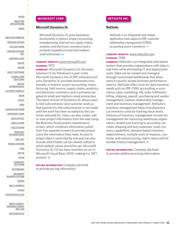<span id="page-21-0"></span>[SELECTING](#page-3-0) [ERP SOFTWARE](#page-3-0) [INDEX](#page-5-0)

[ABAS SOFTWARE AG](#page-7-0) [BOWEN & GROVES](#page-7-0) [CDC SOFTWARE](#page-8-0) [CINCOM SYSTEMS,](#page-8-0) [INC.](#page-8-0) [CONSONA CORP.](#page-9-0) [DELTEK](#page-12-0) [EPICOR](#page-12-0) [EXACT SOFTWARE](#page-13-0) [GLOBAL SHOP](#page-13-0) [SOLUTIONS](#page-13-0) [GLOVIA](#page-14-0) [INTERNATIONAL](#page-14-0) [IFS NORTH AMERICA](#page-14-0) [INFOR](#page-15-0) [INTUIT](#page-18-0) [IQMS](#page-18-0) [LAWSON SOFTWARE](#page-19-0) [MICROSOFT CORP.](#page-19-0) [NETSUITE INC.](#page-21-0) [ORACLE CORP.](#page-22-0) [PLEX SYSTEMS](#page-23-0) [PROFITKEY](#page-23-0) [INTERNATIONAL](#page-23-0) [QAD, INC.](#page-24-0) [RAMCO SYSTEMS](#page-24-0) [SAGE](#page-25-0) [SAP AG](#page-25-0) [SIV.AG](#page-27-0) **[SLINGSHOT](#page-28-0) [SOFTWARE](#page-28-0) [SOFTBRANDS](#page-28-0) [SOLARSOFT](#page-29-0)** [BUSINESS SYSTEMS](#page-29-0) **[SYSPRO](#page-30-0)** [UNIT 4 AGRESSO](#page-30-0) [XTUPLE](#page-31-0) [24SEVENOFFICE ASA](#page-32-0) [ABOUT SEARCH-](#page-33-0)[MANUFACTURING-](#page-33-0)[ERP. COM](#page-33-0)

[METHODOLOGY](#page-33-0)

#### **MICROSOFT CORP.**

#### **[Microsoft Dynamics SL](http://www.microsoft.com/dynamics/sl/default.mspx)**

*Microsoft Dynamics SL gives businesses functionality in finance, project accounting, manufacturing, field service, supply chains, analytics and electronic commerce and is primarily targeted at small and medium*sized enterprises.  $\bullet$ 

#### **COMPANY WEBSITE:** [www.microsoft.com](http://www.microsoft.com) **FOUNDED:** 1975

**SUMMARY:** Microsoft Dynamics SL (formerly Solomon IV for Windows) is part of the Microsoft Dynamics line of ERP software products. Dynamics SL provides businesses functionality in finance, project accounting, manufacturing, field service, supply chains, analytics, and electronic commerce and is primarily targeted at small and medium-sized enterprises. The latest version of Dynamics SL allows users to link subcontractor and customer work so that payment to the subcontractor is not made until the work has been accepted by the customer and paid for. Users can also create, edit or view project information from the web using the Business Portal project maintenance screen, which combines information pulled from five separate screens to provide project users the information they need. Access to project data is restricted by role and can also include which fields can be viewed, edited or which default values should be set. Microsoft Dynamics SL 7.0 has been rewritten to run in Microsoft Visual Basic 2005, making it a .NET product.  $\odot$ 

**PRICING INFORMATION:** Company declined to provide pricing information.

#### **NETSUITE INC.**

#### **[NetSuite](http://www.netsuite.com/portal/products/netsuite/main.shtml)**

*NetSuite is an integrated web-based application that supports ERP, customer relationship management (CRM), accounting and e-commerce.*  $\bullet$ 

#### **COMPANY WEBSITE:** [www.netsuite.com](http://www.netsuite.com) **FOUNDED:** 1998

**SUMMARY:** NetSuite is an integrated web-based system that provides organizations with data in real-time while eliminating IT and deployment costs. Data can be viewed and managed through customized dashboards that allow users to quickly access business performance metrics. NetSuite offers tools for daily business needs such as ERP, CRM, accounting, e-commerce, sales, marketing, HR, order fulfillment, billing, shipping, payroll, purchasing and vendor management, partner relationship management and inventory management. NetSuite's inventory management helps manufacturers cut inventory costs by tracking stock levels. Features of inventory management include bin management for improving warehouse organization, landed cost tracking to accurately calculate shipping and duty expenses, multi-currency capabilities, demand based inventory replenishment, multiple units of measure, customer and volume pricing, matrix items and lot number history management.  $\odot$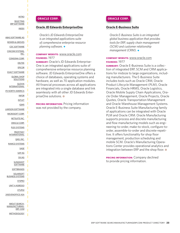<span id="page-22-0"></span>[SELECTING](#page-3-0) [ERP SOFTWARE](#page-3-0) [INDEX](#page-5-0)

[ABAS SOFTWARE AG](#page-7-0) [BOWEN & GROVES](#page-7-0) [CDC SOFTWARE](#page-8-0) [CINCOM SYSTEMS,](#page-8-0) [INC.](#page-8-0) [CONSONA CORP.](#page-9-0) [DELTEK](#page-12-0) [EPICOR](#page-12-0) [EXACT SOFTWARE](#page-13-0) [GLOBAL SHOP](#page-13-0) [SOLUTIONS](#page-13-0) [GLOVIA](#page-14-0) [INTERNATIONAL](#page-14-0) [IFS NORTH AMERICA](#page-14-0) [INFOR](#page-15-0) [INTUIT](#page-18-0) [IQMS](#page-18-0) [LAWSON SOFTWARE](#page-19-0) [MICROSOFT CORP.](#page-19-0) [NETSUITE INC.](#page-21-0) [ORACLE CORP.](#page-22-0) [PLEX SYSTEMS](#page-23-0) [PROFITKEY](#page-23-0) [INTERNATIONAL](#page-23-0) [QAD, INC.](#page-24-0) [RAMCO SYSTEMS](#page-24-0) [SAGE](#page-25-0) [SAP AG](#page-25-0) [SIV.AG](#page-27-0) **[SLINGSHOT](#page-28-0) [SOFTWARE](#page-28-0) [SOFTBRANDS](#page-28-0)** [SOLARSOFT](#page-29-0) [BUSINESS SYSTEMS](#page-29-0) **[SYSPRO](#page-30-0)** [UNIT 4 AGRESSO](#page-30-0) [XTUPLE](#page-31-0) [24SEVENOFFICE ASA](#page-32-0) [ABOUT SEARCH-](#page-33-0)[MANUFACTURING-](#page-33-0)[ERP. COM](#page-33-0) [METHODOLOGY](#page-33-0)

#### **ORACLE CORP.**

#### **[Oracle JD Edwards EnterpriseOne](http://www.oracle.com/applications/jdedwards-enterprise-one.html)**

*Oracle's JD Edwards EnterpriseOne is an integrated applications suite of comprehensive enterprise resource planning software.* 

#### **COMPANY WEBSITE:** [www.oracle.com](http://www.oracle.com) **FOUNDED:** 1977

**SUMMARY:** Oracle's JD Edwards Enterprise-One is an integrated applications suite of comprehensive enterprise resource planning software. JD Edwards EnterpriseOne offers a choice of databases, operating systems and hardware, as well as 70 application modules. All financial processes across all applications are integrated into a single database and link seamlessly with all other JD Edwards EnterpriseOne solutions. <sup>o</sup>

**PRICING INFORMATION:** Pricing information was not provided by the company.

#### **ORACLE CORP.**

#### **[Oracle E-Business Suite](http://www.oracle.com/applications/e-business-suite.html)**

*Oracle E-Business Suite is an integrated global business application that provides tools for ERP, supply chain management (SCM) and customer relationship management (CRM).* ◆

#### **COMPANY WEBSITE:** [www.oracle.com](http://www.oracle.com) **FOUNDED:** 1977

**SUMMARY:** Oracle E-Business Suite is a collection of integrated ERP, SCM and CRM applications for midsize to large organizations, including manufacturers. The E-Business Suite includes tools such as Oracle CRM, Oracle Product Lifecycle Management (PLM), Oracle Financials, Oracle HRMS, Oracle Logistics, Oracle Mobile Supply Chain Applications, Oracle Order Management, Oracle Projects, Oracle Quotes, Oracle Transportation Management and Oracle Warehouse Management Systems. Oracle E-Business Suite Manufacturing family of applications can be integrated with Oracle PLM and Oracle CRM. Oracle Manufacturing supports process and discrete manufacturing and flow manufacturing models such as engineering-to-order, make-to-stock, configure-toorder, assemble-to-order and discrete-repetitive. It offers functionality for shop floor management, production scheduling and mobile SCM. Oracle's Manufacturing Operations Center provides operational analytics and integration between ERP and the shop floor.  $\odot$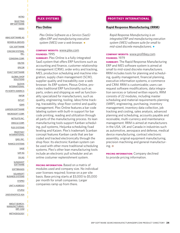<span id="page-23-0"></span>[SELECTING](#page-3-0) [ERP SOFTWARE](#page-3-0) [INDEX](#page-5-0)

[ABAS SOFTWARE AG](#page-7-0) [BOWEN & GROVES](#page-7-0) [CDC SOFTWARE](#page-8-0) [CINCOM SYSTEMS,](#page-8-0) [INC.](#page-8-0) [CONSONA CORP.](#page-9-0) [DELTEK](#page-12-0) [EPICOR](#page-12-0) [EXACT SOFTWARE](#page-13-0) [GLOBAL SHOP](#page-13-0) [SOLUTIONS](#page-13-0) [GLOVIA](#page-14-0) [INTERNATIONAL](#page-14-0) [IFS NORTH AMERICA](#page-14-0) [INFOR](#page-15-0) [INTUIT](#page-18-0) [IQMS](#page-18-0) [LAWSON SOFTWARE](#page-19-0) [MICROSOFT CORP.](#page-19-0) [NETSUITE INC.](#page-21-0) [ORACLE CORP.](#page-22-0) [PLEX SYSTEMS](#page-23-0) [PROFITKEY](#page-23-0) [INTERNATIONAL](#page-23-0) [QAD, INC.](#page-24-0) [RAMCO SYSTEMS](#page-24-0) [SAGE](#page-25-0) [SAP AG](#page-25-0) [SIV.AG](#page-27-0) **[SLINGSHOT](#page-28-0) [SOFTWARE](#page-28-0) [SOFTBRANDS](#page-28-0)** [SOLARSOFT](#page-29-0) [BUSINESS SYSTEMS](#page-29-0) **[SYSPRO](#page-30-0)** [UNIT 4 AGRESSO](#page-30-0) [XTUPLE](#page-31-0) [24SEVENOFFICE ASA](#page-32-0) [ABOUT SEARCH-](#page-33-0)[MANUFACTURING-](#page-33-0)[ERP. COM](#page-33-0)

[METHODOLOGY](#page-33-0)

#### **PLEX SYSTEMS**

#### **[Plex Online](http://www.plex.com)**

*Plex Online Software as a Service (SaaS) offers ERP and manufacturing execution* system (MES) over a web browser.  $\bullet$ 

#### **COMPANY WEBSITE:** [www.plex.com](http://www.plex.com) **FOUNDED:** 1995

**SUMMARY:** Plex Online is a fully-integrated SaaS system that offers ERP functions such as accounting and finance, customer relationship management (CRM), order entry and tracking, MES, production scheduling and machine integration, supply chain management (SCM), supplier quality and traceability over a web browser. Its ERP system, Plexus Online, provides traditional ERP functionality such as parts, orders and shipping as well as functionality specialized for manufacturers, such as quality, engineering, tooling, labor/time tracking, traceability, shop floor control and quality management. Plex Online features a bar code labeling system with built-in support for bar code printing, reading and utilization through all parts of the manufacturing process. Its lean manufacturing tools support Kanban scheduling, pull systems, Heijunka scheduling/load leveling and Kaizen. Plex's trademark Scanban concept features Kanban cards that are bar coded and tracked electronically through the shop floor. Its electronic Kanban system can be used with other more traditional scheduling systems. Plex's other lean manufacturing tools include an electronic pull scheduler and an online costumer replenishment system.

**PRICING INFORMATION:** Based on a matrix of modules used and company size. No individual user licenses required; license on a per site basis. Base pricing starts at \$3,000 to \$5,000 per month for small companies. Larger companies ramp up from there.

#### **PROFITKEY INTERNATIONAL**

#### **[Rapid Response Manufacturing \(RRM\)](http://www.profitkey.com/products/)**

*Rapid Response Manufacturing is an integrated ERP and manufacturing execution system (MES) software suite for small to mid-sized discrete manufacturers.*  $\bullet$ 

#### **COMPANY WEBSITE:** [www.profitkey.com](http://www.profitkey.com) **FOUNDED:** 1979

**SUMMARY:** The Rapid Response Manufacturing ERP and MES software system is aimed at small to mid-sized discrete manufacturers. RRM includes tools for planning and scheduling, quality management, financial planning, executive information systems, e-commerce and CRM. RRM is customizable; users can request software modifications, data integration services or tailored written reports. RRM consists of 22 modules, including master scheduling and material requirements planning (MRP), engineering, purchasing, inventory management, inventory data collection, job tracking and costing, sales analysis, advanced planning and scheduling, accounts payable and receivable, multi-currency and maintenance management. RRM is aimed at manufacturers in the USA, UK and Canada in industries such as automotive, aerospace and defense, medical device manufacturing, contract electronic assembly, original equipment manufacturing, precision machining and general manufacturing.  $\odot$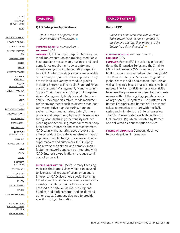<span id="page-24-0"></span>[SELECTING](#page-3-0) [ERP SOFTWARE](#page-3-0) [INDEX](#page-5-0)

[ABAS SOFTWARE AG](#page-7-0) [BOWEN & GROVES](#page-7-0) [CDC SOFTWARE](#page-8-0) [CINCOM SYSTEMS,](#page-8-0) [INC.](#page-8-0) [CONSONA CORP.](#page-9-0) [DELTEK](#page-12-0) [EPICOR](#page-12-0) [EXACT SOFTWARE](#page-13-0) [GLOBAL SHOP](#page-13-0) [SOLUTIONS](#page-13-0) [GLOVIA](#page-14-0) [INTERNATIONAL](#page-14-0) [IFS NORTH AMERICA](#page-14-0) [INFOR](#page-15-0) [INTUIT](#page-18-0) [IQMS](#page-18-0) [LAWSON SOFTWARE](#page-19-0) [MICROSOFT CORP.](#page-19-0) [NETSUITE INC.](#page-21-0) [ORACLE CORP.](#page-22-0) [PLEX SYSTEMS](#page-23-0) [PROFITKEY](#page-23-0) [INTERNATIONAL](#page-23-0) [QAD, INC.](#page-24-0) [RAMCO SYSTEMS](#page-24-0) [SAGE](#page-25-0) [SAP AG](#page-25-0) [SIV.AG](#page-27-0) **[SLINGSHOT](#page-28-0) [SOFTWARE](#page-28-0) [SOFTBRANDS](#page-28-0)** [SOLARSOFT](#page-29-0) [BUSINESS SYSTEMS](#page-29-0) **[SYSPRO](#page-30-0)** [UNIT 4 AGRESSO](#page-30-0) [XTUPLE](#page-31-0) [24SEVENOFFICE ASA](#page-32-0) [ABOUT SEARCH-](#page-33-0)[MANUFACTURING-](#page-33-0)[ERP. COM](#page-33-0)

[METHODOLOGY](#page-33-0)

#### **QAD, INC.**

#### **[QAD Enterprise Applications](http://www.qad.com/portal/site/solutioncenter/Solutions-Home/)**

*QAD Enterprise Applications is an integrated software suite.* 

#### **COMPANY WEBSITE:** [www.qad.com](http://www.qad.com) **FOUNDED:** 1979

**SUMMARY:** QAD Enterprise Applications feature rapid implementation and training, modifiable best practice process maps, business and legal compliance requirements by country and industry and global implementation capabilities. QAD Enterprise Applications are available on-demand, on-premise or on-appliance. They are available in a variety of module groups including Enterprise Financials, Standard Financials, Customer Management, Manufacturing, Supply Chain, Service and Support, Enterprise Asset Management, Analytics and Interoperability. QAD supports mixed-mode manufacturing environments such as discrete manufacturing, repetitive manufacturing, Kanban systems, flow manufacturing, batch/formula process and co-product/by-products manufacturing. Manufacturing functionality includes planning and scheduling, material control, shop floor control, reporting and cost management. QAD Lean Manufacturing uses pre-existing enterprise data to create value-stream maps of suppliers, manufacturing processes and flows, supermarkets and customers. QAD Supply Chain works with simple and complex manufacturing networks and can be integrated with QAD Enterprise Applications to reduce total cost of ownership.

**PRICING INFORMATION:** QAD's primary licensing metric is the Named User, which can be used to license small groups of users, or an entire Enterprise. QAD also offers special licensing for Infrequent or RF Device users, as well as for industry-specific products. Products can be licensed a la carte, or via industry/regional bundles, and both Perpetual and on-demand options exist. Company declined to provide specific pricing information.

#### **RAMCO SYSTEMS**

#### **[Ramco ERP](http://www.ramco.com/Enterprise_resource_planning/Enterprise_resource_planning.asp)**

*Small businesses can start with Ramco's ERP software as either an on-premise or on-demand offering, then migrate to the Enterprise edition if needed.* 

#### **COMPANY WEBSITE:** [www.ramco.com](http://www.ramco.com) **FOUNDED**: 1989

**SUMMARY:** Ramco ERP is available in two editions: the Enterprise Series and the Small to Mid-Sized Business (SMB) Series. Both are built on a service-oriented architecture (SOA). The Ramco Enterprise Series is designed for global process and discrete manufacturers as well as logistics-based or asset-intensive businesses. The Ramco SMB Series allows SMBs to access the processes required for their businesses without the ongoing operating costs of large-scale ERP systems. The platforms for Ramco Enterprise and Ramco SMB are identical, so companies can start with the SMB series and migrate to the Enterprise series. The SMB Series is also available as Ramco OnDemand ERP, which is hosted by Ramco and delivered as a subscription service.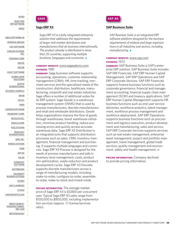<span id="page-25-0"></span>[SELECTING](#page-3-0) [ERP SOFTWARE](#page-3-0) [INDEX](#page-5-0)

[ABAS SOFTWARE AG](#page-7-0) [BOWEN & GROVES](#page-7-0) [CDC SOFTWARE](#page-8-0) [CINCOM SYSTEMS,](#page-8-0) [INC.](#page-8-0) [CONSONA CORP.](#page-9-0) [DELTEK](#page-12-0) [EPICOR](#page-12-0) [EXACT SOFTWARE](#page-13-0) [GLOBAL SHOP](#page-13-0) [SOLUTIONS](#page-13-0) [GLOVIA](#page-14-0) [INTERNATIONAL](#page-14-0) [IFS NORTH AMERICA](#page-14-0) [INFOR](#page-15-0) [INTUIT](#page-18-0) [IQMS](#page-18-0) [LAWSON SOFTWARE](#page-19-0) [MICROSOFT CORP.](#page-19-0) [NETSUITE INC.](#page-21-0) [ORACLE CORP.](#page-22-0) [PLEX SYSTEMS](#page-23-0) [PROFITKEY](#page-23-0) [INTERNATIONAL](#page-23-0) [QAD, INC.](#page-24-0) [RAMCO SYSTEMS](#page-24-0) [SAGE](#page-25-0) [SAP AG](#page-25-0) [SIV.AG](#page-27-0) **[SLINGSHOT](#page-28-0) [SOFTWARE](#page-28-0) [SOFTBRANDS](#page-28-0) [SOLARSOFT](#page-29-0)** [BUSINESS SYSTEMS](#page-29-0) **[SYSPRO](#page-30-0)** [UNIT 4 AGRESSO](#page-30-0) [XTUPLE](#page-31-0) [24SEVENOFFICE ASA](#page-32-0) [ABOUT SEARCH-](#page-33-0)[MANUFACTURING-](#page-33-0)[ERP. COM](#page-33-0) [METHODOLOGY](#page-33-0)



#### **[Sage ERP X3](http://www.sageadonix.com/solutions/index.html)**

*Sage ERP X3 is a fully integrated enterprise solution that addresses the requirements of larger mid-market distributors and manufacturers that do business internationally. The product already is distributed in more than 35 countries, supporting multiple locations, languages and currencies.*  $\triangleleft$ 

#### **COMPANY WEBSITE:** [www.sageadonix.com](http://www.sageadonix.com) **FOUNDED:** 1981

**SUMMARY:** Sage business software supports accounting, operations, customer relationship management (CRM), HR, time tracking, merchant services and the specialized needs of the construction, distribution, healthcare, manufacturing, nonprofit and real estate industries. Sage offers a number of additional suites for its ERP system. Sage Geode is a warehouse management system (WMS) that is used by process manufacturers, discrete manufacturers and retail and wholesale distributors. Geode helps organizations improve the flow of goods through warehouses, boost warehouse utilization, minimize product handling, reduce processing errors and quickly access accurate warehouse data. Sage ERP X3 Distribution is an integrated suite that supports distribution processes such as sales, CRM, inventory management, financial management and purchasing. It supports multiple languages and currencies. Sage ERP X3 Process is designed for the needs of process manufacturers and aids in inventory level management, costs, product mix optimization, waste reduction and product development cycles. Sage ERP X3 Discrete supports discrete manufacturers across a range of manufacturing models, including make-to-order, configure-to-order, assembleto-order, make-to-stock and mixed-mode.

**PRICING INFORMATION:** The average market price of Sage ERP X3 is \$3,800 per concurrent user. Typical Sage ERP X3 sales range from \$100,000 to \$800,000, including implementation services (approx. 1:1 license/services ratio).

## **SAP AG**

#### **[SAP Business Suite](http://www.sap.com/solutions/business-suite/erp)**

*SAP Business Suite is an integrated ERP software platform designed for the business requirements of midsize and large organizations in all industries and sectors, including manufacturing.* 

#### **COMPANY WEBSITE:** [www.sap.com](http://www.sap.com) **FOUNDED:** 1972

**SUMMARY:** SAP Business Suite is SAP's enterprise ERP solution. SAP Business Suite includes SAP ERP Financials, SAP ERP Human Capital Management, SAP ERP Operations and SAP ERP Corporate Services. SAP ERP Financials supports finance business functions such as corporate governance, financial and management accounting, financial supply chain management (SCM) and treasury applications. SAP ERP Human Capital Management supports HR business functions such as end-user service deliveries, workforce analytics, talent management, workforce process management and workforce deployment. SAP ERP Operations supports business functions such as procurement and logistics execution, product development and manufacturing, sales and service. SAP ERP Corporate Services supports services such as real estate management, enterprise asset management, project and portfolio management, travel management, global trade services, quality management and environment, safety and health management.  $\odot$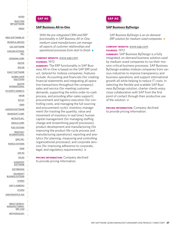[SELECTING](#page-3-0) [ERP SOFTWARE](#page-3-0) [INDEX](#page-5-0)

[ABAS SOFTWARE AG](#page-7-0) [BOWEN & GROVES](#page-7-0) [CDC SOFTWARE](#page-8-0) [CINCOM SYSTEMS,](#page-8-0) [INC.](#page-8-0) [CONSONA CORP.](#page-9-0) [DELTEK](#page-12-0) [EPICOR](#page-12-0) [EXACT SOFTWARE](#page-13-0) [GLOBAL SHOP](#page-13-0) [SOLUTIONS](#page-13-0) [GLOVIA](#page-14-0) [INTERNATIONAL](#page-14-0) [IFS NORTH AMERICA](#page-14-0) [INFOR](#page-15-0) [INTUIT](#page-18-0) [IQMS](#page-18-0) [LAWSON SOFTWARE](#page-19-0) [MICROSOFT CORP.](#page-19-0) [NETSUITE INC.](#page-21-0) [ORACLE CORP.](#page-22-0) [PLEX SYSTEMS](#page-23-0) [PROFITKEY](#page-23-0) [INTERNATIONAL](#page-23-0) [QAD, INC.](#page-24-0) [RAMCO SYSTEMS](#page-24-0) [SAGE](#page-25-0) [SAP AG](#page-25-0) [SIV.AG](#page-27-0) **[SLINGSHOT](#page-28-0) [SOFTWARE](#page-28-0) [SOFTBRANDS](#page-28-0) [SOLARSOFT](#page-29-0)** [BUSINESS SYSTEMS](#page-29-0) **[SYSPRO](#page-30-0)** [UNIT 4 AGRESSO](#page-30-0) [XTUPLE](#page-31-0) [24SEVENOFFICE ASA](#page-32-0) [ABOUT SEARCH-](#page-33-0)[MANUFACTURING-](#page-33-0)[ERP. COM](#page-33-0) [METHODOLOGY](#page-33-0)



#### **[SAP Business All-in-One](http://www.sap.com/solutions/sme/businessallinone/solutionoverview/erp/index.epx)**

*With the pre-integrated CRM and ERP functionality in SAP Business All-in-One, medium-sized manufacturers can manage all aspects of customer relationships and operational processes from start to finish.* 

#### **COMPANY WEBSITE:** [www.sap.com](http://www.sap.com) **FOUNDED:** 1972

**SUMMARY:** The ERP functionality in SAP Business All-in-One is based on the SAP ERP product, tailored for midsize companies. Features include: Accounting and financials (for creating financial statements and integrating all operative transactions throughout the company); sales and service (for meeting customer demands, supporting the entire order-to-cash process, and providing after-sales support); procurement and logistics execution (for controlling costs, and managing the full sourcing and procurement cycle); inventory management (for tracking the quantity, value and movement of inventory in real time); human capital management (for managing staffing change and streamlining payroll processes); product development and manufacturing (for improving the product life-cycle process and manufacturing operations); reporting and analytics (for planning, measuring and controlling organizational processes); and corporate services (for improving adherence to corporate, legal, and regulatory requirements).  $\odot$ 

**PRICING INFORMATION:** Company declined to provide pricing information.



#### **[SAP Business ByDesign](http://www.sap.com/solutions/sme/businessbydesign/overview/index.epx)**

*SAP Business ByDesign is an on-demand* **ERP** solution for medium-sized companies.  $\bullet$ 

#### **COMPANY WEBSITE:** [www.sap.com](http://www.sap.com) **FOUNDED:** 1972

**SUMMARY:** SAP Business ByDesign is a fully integrated, on-demand business solution used by medium-sized companies to run their mission-critical business processes. SAP Business ByDesign enables midsize companies from various industries to improve transparency and business operations, and support international growth-all while helping to reduce IT costs. In selecting the flexible and scalable SAP Business ByDesign solution, charter clients enjoy close collaboration with SAP from the first point of contact through their productive use of the solution.  $\odot$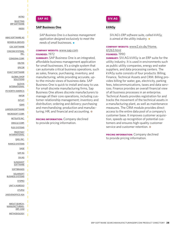<span id="page-27-0"></span>[SELECTING](#page-3-0) [ERP SOFTWARE](#page-3-0) [INDEX](#page-5-0)

[ABAS SOFTWARE AG](#page-7-0) [BOWEN & GROVES](#page-7-0) [CDC SOFTWARE](#page-8-0) [CINCOM SYSTEMS,](#page-8-0) [INC.](#page-8-0) [CONSONA CORP.](#page-9-0) [DELTEK](#page-12-0) [EPICOR](#page-12-0) [EXACT SOFTWARE](#page-13-0) [GLOBAL SHOP](#page-13-0) **[SOLUTIONS](#page-13-0)** [GLOVIA](#page-14-0) [INTERNATIONAL](#page-14-0) [IFS NORTH AMERICA](#page-14-0) [INFOR](#page-15-0) [INTUIT](#page-18-0) [IQMS](#page-18-0) [LAWSON SOFTWARE](#page-19-0) [MICROSOFT CORP.](#page-19-0) [NETSUITE INC.](#page-21-0) [ORACLE CORP.](#page-22-0) [PLEX SYSTEMS](#page-23-0) [PROFITKEY](#page-23-0) **[INTERNATIONAL](#page-23-0)** [QAD, INC.](#page-24-0) [RAMCO SYSTEMS](#page-24-0) [SAGE](#page-25-0) [SAP AG](#page-25-0) [SIV.AG](#page-27-0) **[SLINGSHOT](#page-28-0) [SOFTWARE](#page-28-0) [SOFTBRANDS](#page-28-0)** [SOLARSOFT](#page-29-0) [BUSINESS SYSTEMS](#page-29-0) **[SYSPRO](#page-30-0)** [UNIT 4 AGRESSO](#page-30-0) [XTUPLE](#page-31-0) [24SEVENOFFICE ASA](#page-32-0) [ABOUT SEARCH-](#page-33-0)[MANUFACTURING-](#page-33-0)

> [ERP. COM](#page-33-0) [METHODOLOGY](#page-33-0)



#### **[SAP Business One](http://www.sap.com/solutions/sme/businessone/index.epx)**

*SAP Business One is a business management application designed exclusively to meet the needs of small businesses.* 

#### **COMPANY WEBSITE:** [www.sap.com](http://www.sap.com) **FOUNDED:** 1972

**SUMMARY:** SAP Business One is an integrated, affordable business management application for small businesses. It's a single system that can automate critical business operations, such as sales, finance, purchasing, inventory, and manufacturing, while providing accurate, upto-the-minute views of business data. SAP Business One is quick to install and easy to use. For small discrete manufacturing firms, Sap Business One allows discrete manufacturers to manage all their core operations, including customer relationship management; inventory and distribution; ordering and delivery; purchasing and merchandising; production and manufacturing; HR; and financial and accounting.  $\odot$ 

**PRICING INFORMATION:** Company declined to provide pricing information.

## **SIV.AG**

#### **[kVASy](http://www2.siv.de/kVASy.59778.html)**

*SIV.AG's ERP software suite, called kVASy, is aimed at the utility industry.*  $\bullet$ 

#### **COMPANY WEBSITE:** [www2.siv.de/Home.](http://www2.siv.de/Home.61263.html) [61263.html](http://www2.siv.de/Home.61263.html) **FOUNDED:** 1990

**SUMMARY:** SIV.AG kVASy is an ERP suite for the utility industry. It is used in environments such as public utility companies, energy and water suppliers, and data processing centers. The kVASy suite consists of four products: Billing, Finance, Technical Assets and CRM. Billing provides billing for water, gas, electricity, parking fees, telecommunications, taxes and data services. Finance provides an overall financial view of all business processes in an enterprise. Technical Assets provides registration for and tracks the movement of the technical assets in a manufacturing plant, as well as maintenance measures. The CRM module provides direct access to the entire data pool of a company's customer base. It improves customer acquisition, speeds up recognition of potential customers and ensures high-quality customer service and customer retention.  $\odot$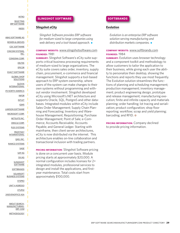<span id="page-28-0"></span>[SELECTING](#page-3-0) [ERP SOFTWARE](#page-3-0) [INDEX](#page-5-0)

[ABAS SOFTWARE AG](#page-7-0) [BOWEN & GROVES](#page-7-0) [CDC SOFTWARE](#page-8-0) [CINCOM SYSTEMS,](#page-8-0) [INC.](#page-8-0) [CONSONA CORP.](#page-9-0) [DELTEK](#page-12-0) [EPICOR](#page-12-0) [EXACT SOFTWARE](#page-13-0) [GLOBAL SHOP](#page-13-0) [SOLUTIONS](#page-13-0) [GLOVIA](#page-14-0) [INTERNATIONAL](#page-14-0) [IFS NORTH AMERICA](#page-14-0) [INFOR](#page-15-0) [INTUIT](#page-18-0) [IQMS](#page-18-0) [LAWSON SOFTWARE](#page-19-0) [MICROSOFT CORP.](#page-19-0) [NETSUITE INC.](#page-21-0) [ORACLE CORP.](#page-22-0) [PLEX SYSTEMS](#page-23-0) [PROFITKEY](#page-23-0) [INTERNATIONAL](#page-23-0) [QAD, INC.](#page-24-0) [RAMCO SYSTEMS](#page-24-0) [SAGE](#page-25-0) [SAP AG](#page-25-0) [SIV.AG](#page-27-0) **[SLINGSHOT](#page-28-0) [SOFTWARE](#page-28-0) [SOFTBRANDS](#page-28-0)** [SOLARSOFT](#page-29-0) [BUSINESS SYSTEMS](#page-29-0) **[SYSPRO](#page-30-0)** [UNIT 4 AGRESSO](#page-30-0) [XTUPLE](#page-31-0) [24SEVENOFFICE ASA](#page-32-0) [ABOUT SEARCH-](#page-33-0)[MANUFACTURING-](#page-33-0)[ERP. COM](#page-33-0) [METHODOLOGY](#page-33-0)

#### **SLINGSHOT SOFTWARE**

#### **[Slingshot eCity](http://www.slingshotsoftware.com/)**

*Slingshot Software provides ERP software for medium-sized to large companies using web delivery and a tool-based approach.* 

#### **COMPANY WEBSITE:** [www.slingshotsoftware.com](http://www.slingshotsoftware.com) **FOUNDED:** 1981

**SUMMARY:** Slingshot Software's eCity suite supports critical business processing requirements of medium-sized to large organizations. The eCity suite covers sales order, inventory, supply chain, procurement, e-commerce and financial management. Slingshot supports a tool-based approach to ERP system ownership, where users of the system can make changes to their own systems without programming and without vendor involvement. Slingshot developed eCity using Microsoft's.NET architecture and supports Oracle, SQL, PostgreS and other databases. Integrated modules within eCity include Sales Order Management; Supply Chain Planning and Forecasting; Inventory and Warehouse Management; Requisitioning; Purchase Order Management; Point of Sale; e-Commerce; Accounts Receivable; Accounts Payable; and General Ledger. Starting with mainframe, then client server architectures, eCity is now distributed via the internet. This architecture enables on-line collaboration and transactional inclusion with trading partners.

**PRICING INFORMATION:** Slingshot Software pricing is done on a concurrent user basis. Module pricing starts at approximately \$20,000. A normal configuration includes licenses for 2+ integrated modules, professional services to design and install the applications, and firstyear maintenance. Total costs start from approximately \$100,000.

#### **SOFTBRANDS**

#### **[Evolution](http://www.fourthshift.com/evolution)**

*Evolution is an enterprise ERP software solution serving manufacturing and distribution markets companies.*  $\rightarrow$ 

#### **COMPANY WEBSITE:** [www.softbrands.com](http://www.softbrands.com) **FOUNDED:** 1984

**SUMMARY:** Evolution uses browser technology and a component toolkit and methodology to allow customers to tailor the application to their business, while giving each user the ability to personalize their desktop, showing the functions and reports they use most frequently. The Evolution solution streamlines the functions of planning and scheduling management; production management; inventory management; product engineering design, prototype and release management; manufacturing execution; finite and infinite capacity and materials planning; order handling; lot tracing and serialization; product configuration; shop floor reporting; workflow; scrap and yield planning; barcoding; and RFID.  $\odot$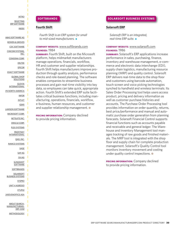<span id="page-29-0"></span>[SELECTING](#page-3-0) [ERP SOFTWARE](#page-3-0) [INDEX](#page-5-0)

[ABAS SOFTWARE AG](#page-7-0) [BOWEN & GROVES](#page-7-0) [CDC SOFTWARE](#page-8-0) [CINCOM SYSTEMS,](#page-8-0) [INC.](#page-8-0) [CONSONA CORP.](#page-9-0) [DELTEK](#page-12-0) [EPICOR](#page-12-0) [EXACT SOFTWARE](#page-13-0) [GLOBAL SHOP](#page-13-0) **[SOLUTIONS](#page-13-0)** [GLOVIA](#page-14-0) [INTERNATIONAL](#page-14-0) [IFS NORTH AMERICA](#page-14-0) [INFOR](#page-15-0) [INTUIT](#page-18-0) [IQMS](#page-18-0) [LAWSON SOFTWARE](#page-19-0) [MICROSOFT CORP.](#page-19-0) [NETSUITE INC.](#page-21-0) [ORACLE CORP.](#page-22-0) [PLEX SYSTEMS](#page-23-0) [PROFITKEY](#page-23-0) [INTERNATIONAL](#page-23-0) [QAD, INC.](#page-24-0) [RAMCO SYSTEMS](#page-24-0) [SAGE](#page-25-0) [SAP AG](#page-25-0) [SIV.AG](#page-27-0) **[SLINGSHOT](#page-28-0) [SOFTWARE](#page-28-0) [SOFTBRANDS](#page-28-0)** [SOLARSOFT](#page-29-0) [BUSINESS SYSTEMS](#page-29-0) **[SYSPRO](#page-30-0)** [UNIT 4 AGRESSO](#page-30-0) [XTUPLE](#page-31-0) [24SEVENOFFICE ASA](#page-32-0) [ABOUT SEARCH-](#page-33-0)[MANUFACTURING-](#page-33-0)[ERP. COM](#page-33-0)

[METHODOLOGY](#page-33-0)

#### **SOFTBRANDS**

#### **[Fourth Shift](http://www.fourthshift.com/fourth-shift)**

*Fourth Shift is an ERP system for small* to mid-sized manufacturers.  $\bullet$ 

#### **COMPANY WEBSITE:** [www.softbrands.com](http://www.softbrands.com) **FOUNDED:** 1984

**SUMMARY:** Fourth Shift, built on the Microsoft platform, helps midmarket manufacturers manage operations, financials, workflow, HR and customer and supplier relationships. Fourth Shift helps manufacturers improve production through quality analysis, performance checks and role-based planning. The software enables companies to streamline business processes and gain real-time visibility into key data, so employees can take quick, appropriate action. Fourth Shift's extended ERP suite facilitates critical business functions, including manufacturing, operations, financials, workflow, e-business, human resources, and customer and supplier relationship management.  $\odot$ 

**PRICING INFORMATION:** Company declined to provide pricing information.

#### **SOLARSOFT BUSINESS SYSTEMS**

#### **[Solarsoft ERP](http://www.solarsoft.com/applications/enterprise_resource_planning/default.htm)**

*Solarsoft ERP is an integrated, real-time ERP suite.* 

#### **COMPANY WEBSITE:** [www.solarsoft.com](http://www.solarsoft.com) **FOUNDED:** 1986

**SUMMARY:** Solarsoft's ERP applications increase performance in sales, purchasing, finance, inventory and warehouse management, e-commerce and electronic data interchange (EDI), supply chain logistics, manufacturing resource planning (MRP) and quality control. Solarsoft ERP delivers real-time data to the shop floor and customers using barcode automation, touch screen and voice picking technologies synched to handheld and wireless terminals. Its Sales Order Processing tool helps users access product, pricing and delivery information as well as customer purchase histories and accounts. The Purchase Order Processing tool provides information on order quantity, returns, best price/performance and manual and automatic purchase order generation from planning forecasts. Solarsoft Financial Control supports financial functions such as accounts payable and receivable and general ledger. The Warehouse and Inventory Management tool manages tracking of raw goods and finished materials. The MRP tool is integrated with the shop floor and supply chain for complete production management. Solarsoft's Quality Control tool monitors inventory movement and costing under quality control inspections.  $\odot$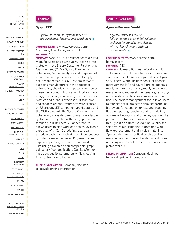#### <span id="page-30-0"></span>[INTRO](#page-2-0) [SELECTING](#page-3-0)

[ERP SOFTWARE](#page-3-0) [INDEX](#page-5-0)

[ABAS SOFTWARE AG](#page-7-0) [BOWEN & GROVES](#page-7-0) [CDC SOFTWARE](#page-8-0) [CINCOM SYSTEMS,](#page-8-0) [INC.](#page-8-0) [CONSONA CORP.](#page-9-0) [DELTEK](#page-12-0) [EPICOR](#page-12-0) [EXACT SOFTWARE](#page-13-0) [GLOBAL SHOP](#page-13-0) [SOLUTIONS](#page-13-0) [GLOVIA](#page-14-0) [INTERNATIONAL](#page-14-0) [IFS NORTH AMERICA](#page-14-0) [INFOR](#page-15-0) [INTUIT](#page-18-0) [IQMS](#page-18-0) [LAWSON SOFTWARE](#page-19-0) [MICROSOFT CORP.](#page-19-0) [NETSUITE INC.](#page-21-0) [ORACLE CORP.](#page-22-0) [PLEX SYSTEMS](#page-23-0) [PROFITKEY](#page-23-0) [INTERNATIONAL](#page-23-0) [QAD, INC.](#page-24-0) [RAMCO SYSTEMS](#page-24-0) [SAGE](#page-25-0) [SAP AG](#page-25-0) [SIV.AG](#page-27-0) **[SLINGSHOT](#page-28-0) [SOFTWARE](#page-28-0) [SOFTBRANDS](#page-28-0) [SOLARSOFT](#page-29-0)** [BUSINESS SYSTEMS](#page-29-0) **[SYSPRO](#page-30-0)** [UNIT 4 AGRESSO](#page-30-0) [XTUPLE](#page-31-0) [24SEVENOFFICE ASA](#page-32-0) [ABOUT SEARCH-](#page-33-0)[MANUFACTURING-](#page-33-0)[ERP. COM](#page-33-0) [METHODOLOGY](#page-33-0)



#### **[Syspro ERP](http://www.sysprousa.com/Corporate/US/Home_main.html)**

*Syspro ERP is an ERP system aimed at mid-sized manufacturers and distributors.* 

#### **COMPANY WEBSITE:** [www.sysprousa.com/](http://www.sysprousa.com/Corporate/US/Home_main.html) [Corporate/US/Home\\_main.html](http://www.sysprousa.com/Corporate/US/Home_main.html) **FOUNDED:** 1978

**SUMMARY:** Syspro ERP is designed for mid-sized manufacturers and distributors. It can be integrated with the Syspro Customer Relationship Management (CRM), Syspro Planning and Scheduling, Syspro Analytics and Syspro e.net e-commerce to provide end-to-end supply chain management (SCM). Syspro software supports manufacturers in the aerospace, automotive, chemicals, computers/electronics, consumer products, fabrication, food and beverage, machinery/equipment, medical devices, plastics and rubbers, wholesale, distribution and services arenas. Syspro software is based on Microsoft.NET component architecture and the XML standard. The Syspro Planning and Scheduling tool is designed to manage a factory floor and integrates with the Syspro manufacturing tool. Its Factory Planner feature allows users to plan workload against available capacity. With Cell Scheduling, users can schedule each manufacturing cell independently under user-defined rules. Progress Tracker supplies operatory with up-to-date work-to lists using a touch-screen compatible, graphical factory floor application. Quality Monitoring tracks quality parameters while checking for data trends or blips.  $\odot$ 

**PRICING INFORMATION:** Company declined to provide pricing information.

#### **UNIT 4 AGRESSO**

#### **[Agresso Business World](http://www.agresso.com/1550_the-agresso-product.aspx)**

*Agresso Business World is a fully-integrated suite of ERP solutions designed for organizations dealing with rapidly-changing business requirements.* 

#### **COMPANY WEBSITE:** [www.agresso.com/l1\\_](http://www.agresso.com/l1_home.aspx) [home.aspxm](http://www.agresso.com/l1_home.aspx) **FOUNDED:** 1983

**SUMMARY:** Agresso Business World is an ERP software suite that offers tools for professional service and public sector organizations. Agresso Business World includes tools for financial management, HR and payroll, project management, procurement management, field service management and asset maintenance, reporting and analytics and business process automation. The project management tool allows users to manage entire projects or project portfolios. It provides functionality for resource planning, flexible reporting structures, price modeling, automated invoicing and time registration. The procurement tools streamlines procurement throughout an enterprise via functionality for self-service requisitioning, automated workflow, e-procurement and invoice matching. Agresso Field Force for field service and asset management features embedded analytics and reporting and instant invoice creation for completed work.  $\odot$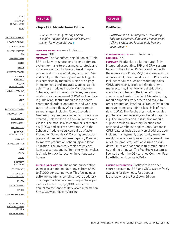#### <span id="page-31-0"></span>[INTRO](#page-2-0) [SELECTING](#page-3-0)

ı

[ERP SOFTWARE](#page-3-0) [INDEX](#page-5-0)

[ABAS SOFTWARE AG](#page-7-0) [BOWEN & GROVES](#page-7-0) [CDC SOFTWARE](#page-8-0) [CINCOM SYSTEMS,](#page-8-0) [INC.](#page-8-0) [CONSONA CORP.](#page-9-0) [DELTEK](#page-12-0) [EPICOR](#page-12-0) [EXACT SOFTWARE](#page-13-0) [GLOBAL SHOP](#page-13-0) [SOLUTIONS](#page-13-0) [GLOVIA](#page-14-0) [INTERNATIONAL](#page-14-0) [IFS NORTH AMERICA](#page-14-0) [INFOR](#page-15-0) [INTUIT](#page-18-0) [IQMS](#page-18-0) [LAWSON SOFTWARE](#page-19-0) [MICROSOFT CORP.](#page-19-0) [NETSUITE INC.](#page-21-0) [ORACLE CORP.](#page-22-0) [PLEX SYSTEMS](#page-23-0) [PROFITKEY](#page-23-0) [INTERNATIONAL](#page-23-0) [QAD, INC.](#page-24-0) [RAMCO SYSTEMS](#page-24-0) [SAGE](#page-25-0) [SAP AG](#page-25-0) [SIV.AG](#page-27-0) **[SLINGSHOT](#page-28-0) [SOFTWARE](#page-28-0) [SOFTBRANDS](#page-28-0)** [SOLARSOFT](#page-29-0) [BUSINESS SYSTEMS](#page-29-0) **[SYSPRO](#page-30-0)** [UNIT 4 AGRESSO](#page-30-0) [XTUPLE](#page-31-0) [24SEVENOFFICE ASA](#page-32-0) [ABOUT SEARCH-](#page-33-0)[MANUFACTURING-](#page-33-0)

[ERP. COM](#page-33-0)

[METHODOLOGY](#page-33-0)



#### **[xTuple ERP: Manufacturing Edition](http://www.xtuple.com/manufacturing)**

*xTuple ERP: Manufacturing Edition is a fully-integrated end-to-end software* system for manufacturers.  $\bullet$ 

#### **COMPANY WEBSITE:** [www.xTuple.com](http://www.xTuple.com) **FOUNDED:** 2001

**SUMMARY:** The Manufacturing Edition of xTuple ERP is a fully-integrated end-to-end software system for make-to-order, make-to-stock, and mixed-mode manufacturers. Like all xTuple products, it runs on Windows, Linux, and Mac and is fully multi-currency and multi-lingual. It is organized by modules, which are highly interconnected and integrated, and customizable. These modules include Manufacture, Schedule, Product, Inventory, Sales, customer relationship management (CRM) and Purchasing. The Manufacture module is the control center for all orders, operations, and work centers on the shop floor. Work orders come in several stages, including Open, Exploded (materials requirements issued and operations created), Released to the floor, In Process, and Closed. The module also control bills of materials (BOM) and bills of operations. With the Schedule module, users can build a Master Production Schedule (MPS) using production plans and forecasts and use Capacity Planning to improve production scheduling and labor utilization. The Inventory tools assign each item to a corresponding item site, which makes it simple to track its location in various warehouses.

**PRICING INFORMATION:** The annual subscription (similar to a rental model) ranges from \$350 to \$1,000 per user per year. This fee includes software maintenance (all software updates). The perpetual license (one-time purchase per user for the license): \$3,000 per user with annual maintenance of 18%. More information: http://www.xtuple.com/pricing

## **XTUPLE**

#### **[PostBooks](http://www.xtuple.com/postbooks)**

*PostBooks is a fully-integrated accounting, ERP, and customer relationship management (CRM) system and is completely free and* open source.<sup>•</sup>

#### **COMPANY WEBSITE:** [www.xTuple.com](http://www.xTuple.com) **FOUNDED:** 2001

**SUMMARY:** PostBooks is a full-featured, fullyintegrated accounting, ERP, and CRM system, based on the xTuple ERP Suite and built with the open source PostgreSQL database, and the open source Qt framework for C++. PostBooks includes modules such as accounting, sales, CRM, purchasing, product definition, light manufacturing, inventory and distribution, shop floor control and the OpenRPT open source report writer. The Light Manufacturing module supports work orders and make-toorder production. PostBooks Product Definition manages items and infinite-level bills of materials (BOM). The Purchasing module handles purchase orders, receiving and vendor reporting. The Inventory and Distribution module supports multiple inventory locations and advanced warehouse applications. Postbooks CRM features include a universal address book, incident management, opportunity management, to-do lists and project management. Like all xTuple products, PostBooks runs on Windows, Linux, and Mac and is fully multi-currency and multi-lingual. The PostBooks system is licensed under the OSI-certified Common Public Attribution License (CPAL).

**PRICING INFORMATION:** PostBooks is an open source accounting, ERP, and CRM system freely available for download. Paid support is available for the PostBooks Edition.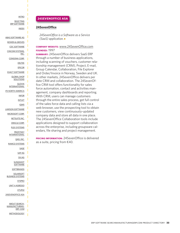<span id="page-32-0"></span>[SELECTING](#page-3-0) [ERP SOFTWARE](#page-3-0) [INDEX](#page-5-0)

[ABAS SOFTWARE AG](#page-7-0) [BOWEN & GROVES](#page-7-0) [CDC SOFTWARE](#page-8-0) [CINCOM SYSTEMS,](#page-8-0) [INC.](#page-8-0) [CONSONA CORP.](#page-9-0) [DELTEK](#page-12-0) [EPICOR](#page-12-0) [EXACT SOFTWARE](#page-13-0) [GLOBAL SHOP](#page-13-0) **[SOLUTIONS](#page-13-0)** [GLOVIA](#page-14-0) [INTERNATIONAL](#page-14-0) [IFS NORTH AMERICA](#page-14-0) [INFOR](#page-15-0) [INTUIT](#page-18-0) [IQMS](#page-18-0) [LAWSON SOFTWARE](#page-19-0) [MICROSOFT CORP.](#page-19-0) [NETSUITE INC.](#page-21-0) [ORACLE CORP.](#page-22-0) [PLEX SYSTEMS](#page-23-0) [PROFITKEY](#page-23-0) [INTERNATIONAL](#page-23-0) [QAD, INC.](#page-24-0) [RAMCO SYSTEMS](#page-24-0) [SAGE](#page-25-0) [SAP AG](#page-25-0) [SIV.AG](#page-27-0) **[SLINGSHOT](#page-28-0) [SOFTWARE](#page-28-0) [SOFTBRANDS](#page-28-0) [SOLARSOFT](#page-29-0)** [BUSINESS SYSTEMS](#page-29-0) **[SYSPRO](#page-30-0)** [UNIT 4 AGRESSO](#page-30-0) [XTUPLE](#page-31-0) [24SEVENOFFICE ASA](#page-32-0) [ABOUT SEARCH-](#page-33-0)[MANUFACTURING-](#page-33-0)[ERP. COM](#page-33-0) [METHODOLOGY](#page-33-0)

#### **24SEVENOFFICE ASA**

#### **[24SevenOffice](http://www.24SevenOffice.com)**

*24SevenOffice is a Software as a Service (SaaS) application.*1

#### **COMPANY WEBSITE:** [www.24SevenOffice.com](http://www.24SevenOffice.com) **FOUNDED:** 1997

**SUMMARY:** 24SevenOffice delivers SaaS ERP through a number of business applications, including scanning of vouchers, customer relationship management (CRM), Project, E-mail, Group Calendar, Collaboration, File Explorer and Order/Invoice in Norway, Sweden and UK. In other markets, 24SevenOffice delivers per date CRM and collaboration. The 24SevenOffice CRM tool offers functionality for sales force automation, contact and activities management, company dashboards and reporting. With CRM, users can manage customers through the entire sales process, get full control of the sales force data and calling lists via a web browser, use the prospecting tool to obtain new customers, view continuously-updated company data and store all data in one place. The 24SevenOffice Collaboration tools include applications designed to support collaboration across the enterprise, including groupware calendars, file sharing and project management.

**PRICING INFORMATION:** 24SevenOffice is delivered as a suite, pricing from  $€40$ .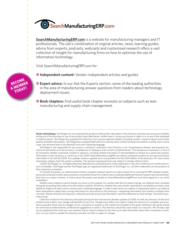<span id="page-33-0"></span>

**[SearchManufacturingERP.com](www.SearchManufacturingERP.com)** is a website for manufacturing managers and IT professionals. The site's combination of original articles, news, learning guides, advice from experts, podcasts, webcasts and customized research offers a vast collection of insight for manufacturing firms on how to optimize the use of information technology.

Visit SearchManufacturingERP.com for:

- **O** Independent content: Vendor-independent articles and guides
- **O Expert advice:** In our Ask the Experts section, some of the leading authorities in the area of manufacturing answer questions from readers about technology deployment issues.
- **O Book chapters:** Find useful book chapter excerpts on subjects such as lean manufacturing and supply chain management.

Guide methodology: TechTarget has not evaluated the products listed and/or described in this Directory and does not assume any liability arising out of the purchase or use of any product described herein, neither does it convey any license or rights in or to any of the evaluated or listed products. TechTarget has prepared this Directory from sources deemed reliable (including vendors, research reports and certain publicly available information). TechTarget has used good faith efforts to indicate when content has been provided by a vendor and, in some cases, has removed what it has deemed to be overt marketing language.

TechTarget is not responsible for any errors or omissions contained in this Directory or for interpretations thereof, and expressly disclaims all warranties as to the accuracy, completeness or adequacy of all content contained herein. This disclaimer of warranty is in lieu of all warranties whether expressed, implied or statutory, including implied warranties of merchantability or fitness for a particular purpose. Information in this Directory is current as of Q2 2009. SearchManufacturingERP.com editors contacted vendors for pricing and product information in Q1 and Q2 2009. Any updates vendors supplied were incorporated into the 2009 edition of the directory. For more recent information, please check the vendor's websites. The opinions expressed herein are subject to change without notice.

©2009 TechTarget, Inc. All Rights Reserved. Reproduction and distribution of this publication in any form without prior written permission is forbidden. TechTarget and the TechTarget logo are registered trademarks of TechTarget, Inc.; all other trademarks are the property of their respective companies.

To compile this guide, our editorial team initially consulted research reports by major analyst firms covering the ERP software marketplace and contacted vendors about products reviewed by those firms. Editors also conducted additional Internet research and solicited feedback from our expert contacts. A notice about the project was posted on SearchManufacturingERP.com and listed regularly in our email newsletters.

Vendors were invited to submit listings via a form on the website. For vendors that did not submit listings, our editorial team compiled listings by excerpting information from the vendor's website. All entries, whether they were vendor-submitted or compiled by our team, were edited for length and clarity and to remove overt marketing language. In order to best assist our readers in assessing products, our editorial team attempted to obtain basic pricing information for all products in this directory—requesting information from vendors multiple times via email. Vendors that did not respond, or refused to provide any pricing information, have this statement on their listings: "Declined to provide pricing."

Collection of data for this directory took place during the first and second calendar quarters of 2009. As with any directory of this kind, products and vendors may change substantially at any time. Though every effort was made to make this directory as complete and accurate as possible, there may be changes, errors, omissions or vendors in this market not included in this guide. Nothing in this guide should be construed as endorsements, professional suggestions or advice. This directory should be used simply as a resource. We strongly urge you to supplement this with your own research and to contact vendors for the most up to date information about their companies or products. It is our intent to update this directory annually, but that is subject to change.



П